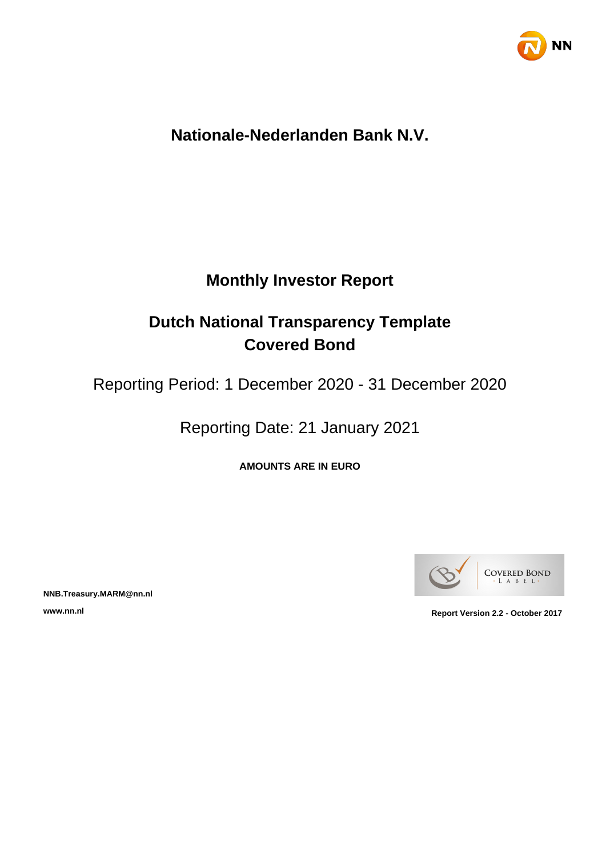

# **Nationale-Nederlanden Bank N.V.**

# **Monthly Investor Report**

# **Dutch National Transparency Template Covered Bond**

Reporting Period: 1 December 2020 - 31 December 2020

Reporting Date: 21 January 2021

**AMOUNTS ARE IN EURO**



**NNB.Treasury.MARM@nn.nl**

**www.nn.nl Report Version 2.2 - October 2017**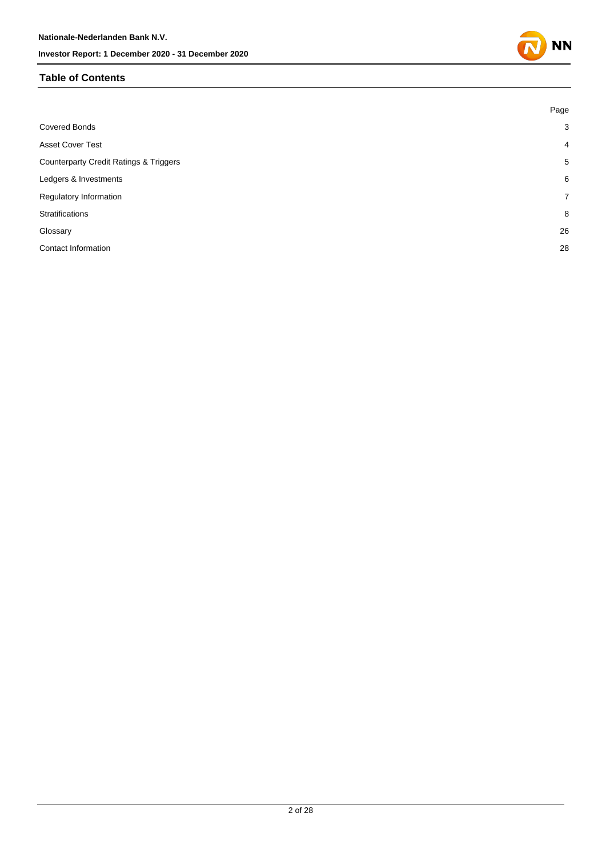#### **Table of Contents**

|                                                   | Page           |
|---------------------------------------------------|----------------|
| <b>Covered Bonds</b>                              | 3              |
| <b>Asset Cover Test</b>                           | $\overline{4}$ |
| <b>Counterparty Credit Ratings &amp; Triggers</b> | 5              |
| Ledgers & Investments                             | 6              |
| Regulatory Information                            | $\overline{7}$ |
| Stratifications                                   | 8              |
| Glossary                                          | 26             |
| Contact Information                               | 28             |
|                                                   |                |

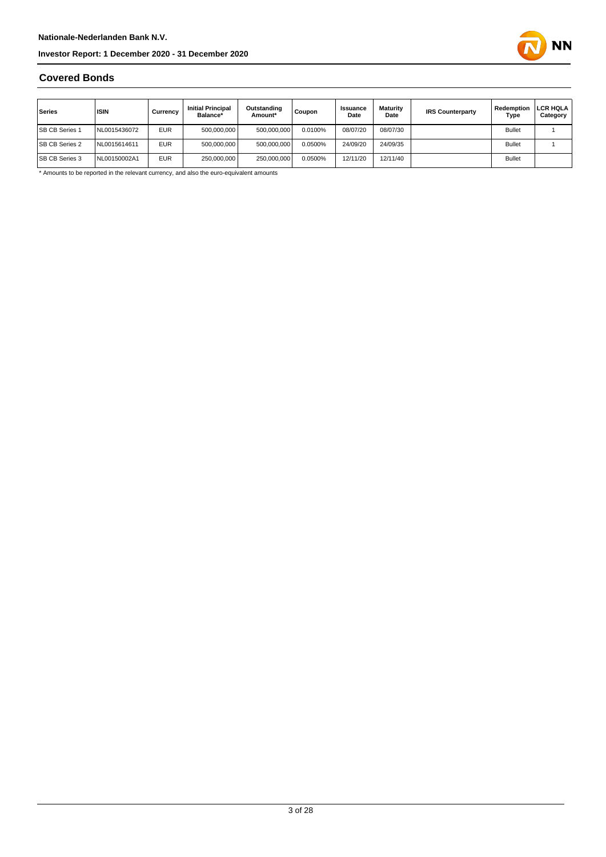

### **Covered Bonds**

| Series                | <b>ISIN</b>  | Currency   | <b>Initial Principal</b><br>Balance* | Outstanding<br>Amount* | Coupon  | <b>Issuance</b><br>Date | <b>Maturity</b><br>Date | <b>IRS Counterparty</b> | Redemption<br>Type | <b>LCR HQLA</b><br>Category |
|-----------------------|--------------|------------|--------------------------------------|------------------------|---------|-------------------------|-------------------------|-------------------------|--------------------|-----------------------------|
| <b>SB CB Series 1</b> | NL0015436072 | <b>EUR</b> | 500.000.000                          | 500.000.000            | 0.0100% | 08/07/20                | 08/07/30                |                         | <b>Bullet</b>      |                             |
| <b>SB CB Series 2</b> | NL0015614611 | <b>EUR</b> | 500,000,000                          | 500,000,000            | 0.0500% | 24/09/20                | 24/09/35                |                         | <b>Bullet</b>      |                             |
| <b>SB CB Series 3</b> | NL00150002A1 | <b>EUR</b> | 250.000.000                          | 250.000.000            | 0.0500% | 12/11/20                | 12/11/40                |                         | <b>Bullet</b>      |                             |

\* Amounts to be reported in the relevant currency, and also the euro-equivalent amounts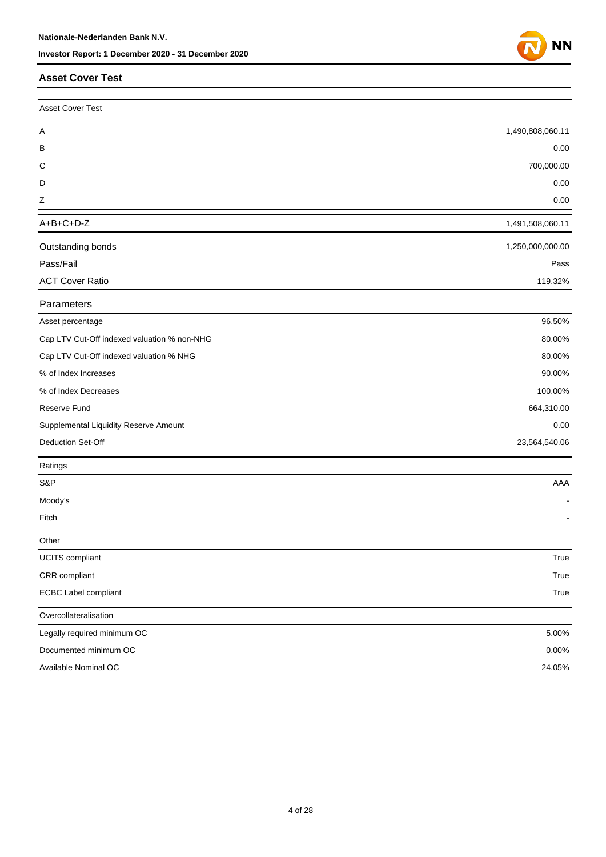#### **Asset Cover Test**

| <b>Asset Cover Test</b>                     |                  |
|---------------------------------------------|------------------|
| Α                                           | 1,490,808,060.11 |
| В                                           | 0.00             |
| C                                           | 700,000.00       |
| D                                           | 0.00             |
| Ζ                                           | 0.00             |
| $A+B+C+D-Z$                                 | 1,491,508,060.11 |
| Outstanding bonds                           | 1,250,000,000.00 |
| Pass/Fail                                   | Pass             |
| <b>ACT Cover Ratio</b>                      | 119.32%          |
| Parameters                                  |                  |
| Asset percentage                            | 96.50%           |
| Cap LTV Cut-Off indexed valuation % non-NHG | 80.00%           |
| Cap LTV Cut-Off indexed valuation % NHG     | 80.00%           |
| % of Index Increases                        | 90.00%           |
| % of Index Decreases                        | 100.00%          |
| Reserve Fund                                | 664,310.00       |
| Supplemental Liquidity Reserve Amount       | 0.00             |
| Deduction Set-Off                           | 23,564,540.06    |
| Ratings                                     |                  |
| S&P                                         | AAA              |
| Moody's                                     |                  |
| Fitch                                       |                  |
| Other                                       |                  |
| <b>UCITS</b> compliant                      | True             |
| CRR compliant                               | True             |
| <b>ECBC Label compliant</b>                 | True             |
| Overcollateralisation                       |                  |
| Legally required minimum OC                 | 5.00%            |
| Documented minimum OC                       | 0.00%            |
| Available Nominal OC                        | 24.05%           |

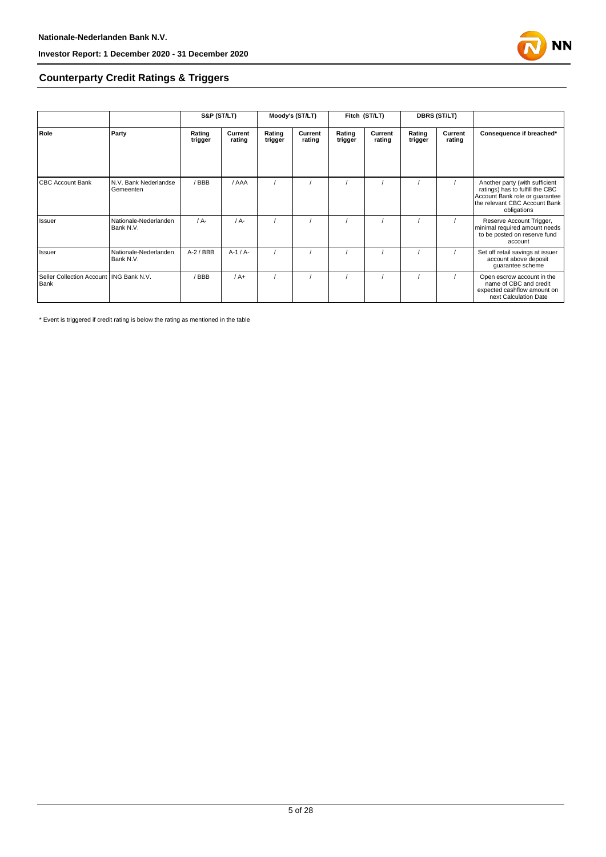

#### **Counterparty Credit Ratings & Triggers**

|                                                   |                                    | S&P (ST/LT)       |                   | Moody's (ST/LT)   |                   | Fitch (ST/LT)     |                   | <b>DBRS (ST/LT)</b> |                   |                                                                                                                                                     |  |
|---------------------------------------------------|------------------------------------|-------------------|-------------------|-------------------|-------------------|-------------------|-------------------|---------------------|-------------------|-----------------------------------------------------------------------------------------------------------------------------------------------------|--|
| Role                                              | Party                              | Rating<br>trigger | Current<br>rating | Rating<br>trigger | Current<br>rating | Rating<br>trigger | Current<br>rating | Rating<br>trigger   | Current<br>rating | Consequence if breached*                                                                                                                            |  |
| <b>CBC Account Bank</b>                           | N.V. Bank Nederlandse<br>Gemeenten | / BBB             | / AAA             |                   |                   |                   |                   |                     |                   | Another party (with sufficient<br>ratings) has to fulfill the CBC<br>Account Bank role or quarantee<br>the relevant CBC Account Bank<br>obligations |  |
| Issuer                                            | Nationale-Nederlanden<br>Bank N.V. | $/A$ -            | $/A$ -            |                   |                   |                   |                   |                     |                   | Reserve Account Trigger,<br>minimal required amount needs<br>to be posted on reserve fund<br>account                                                |  |
| Issuer                                            | Nationale-Nederlanden<br>Bank N.V. | $A-2$ / BBB       | $A-1/A-$          |                   |                   |                   |                   |                     |                   | Set off retail savings at issuer<br>account above deposit<br>guarantee scheme                                                                       |  |
| Seller Collection Account   ING Bank N.V.<br>Bank |                                    | BBB               | $/A+$             |                   |                   |                   |                   |                     |                   | Open escrow account in the<br>name of CBC and credit<br>expected cashflow amount on<br>next Calculation Date                                        |  |

\* Event is triggered if credit rating is below the rating as mentioned in the table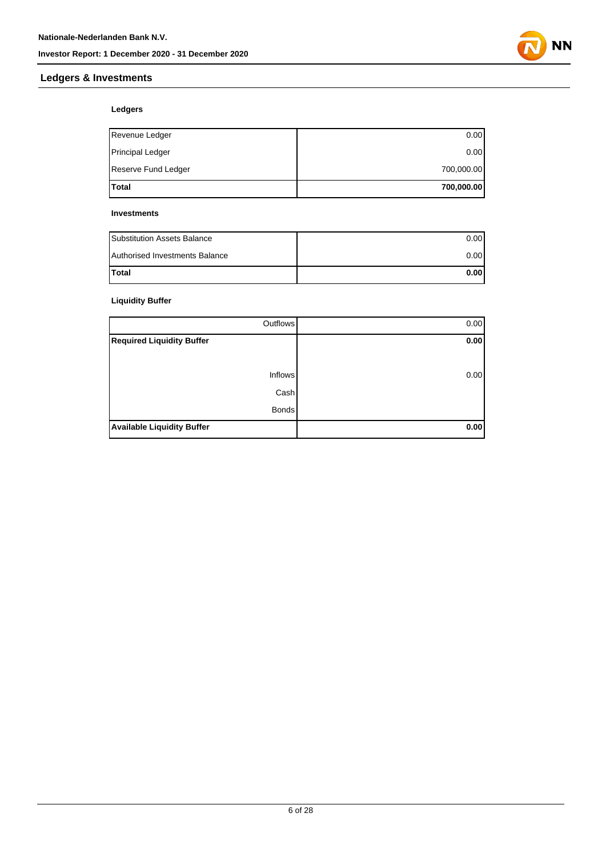

#### **Ledgers & Investments**

#### **Ledgers**

| lTotal                  | 700,000.00 |
|-------------------------|------------|
| Reserve Fund Ledger     | 700,000.00 |
| <b>Principal Ledger</b> | 0.00       |
| Revenue Ledger          | 0.00       |

#### **Investments**

| <b>Substitution Assets Balance</b> | 0.001 |
|------------------------------------|-------|
| Authorised Investments Balance     | 0.001 |
| <b>Total</b>                       | 0.001 |

#### **Liquidity Buffer**

| Outflows                          | 0.00 |
|-----------------------------------|------|
| <b>Required Liquidity Buffer</b>  | 0.00 |
|                                   |      |
| <b>Inflows</b>                    | 0.00 |
| Cash                              |      |
| <b>Bonds</b>                      |      |
| <b>Available Liquidity Buffer</b> | 0.00 |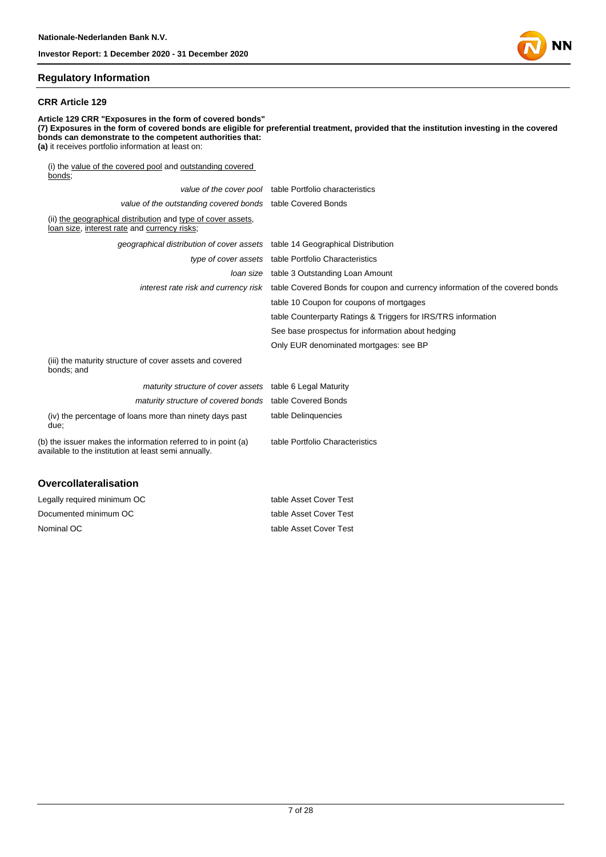

#### **Regulatory Information**

#### **CRR Article 129**

**Article 129 CRR "Exposures in the form of covered bonds" (7) Exposures in the form of covered bonds are eligible for preferential treatment, provided that the institution investing in the covered bonds can demonstrate to the competent authorities that: (a)** it receives portfolio information at least on: (i) the value of the covered pool and outstanding covered bonds; value of the cover pool table Portfolio characteristics value of the outstanding covered bonds table Covered Bonds (ii) the geographical distribution and type of cover assets, loan size, interest rate and currency risks; geographical distribution of cover assets table 14 Geographical Distribution type of cover assets table Portfolio Characteristics loan size table 3 Outstanding Loan Amount interest rate risk and currency risk table Covered Bonds for coupon and currency information of the covered bonds table 10 Coupon for coupons of mortgages table Counterparty Ratings & Triggers for IRS/TRS information See base prospectus for information about hedging Only EUR denominated mortgages: see BP (iii) the maturity structure of cover assets and covered bonds; and maturity structure of cover assets table 6 Legal Maturity maturity structure of covered bonds table Covered Bonds table Delinquencies

table Portfolio Characteristics

(iv) the percentage of loans more than ninety days past due;

(b) the issuer makes the information referred to in point (a) available to the institution at least semi annually.

#### **Overcollateralisation**

| Legally required minimum OC | table Asset Cover Test |
|-----------------------------|------------------------|
| Documented minimum OC       | table Asset Cover Test |
| Nominal OC                  | table Asset Cover Test |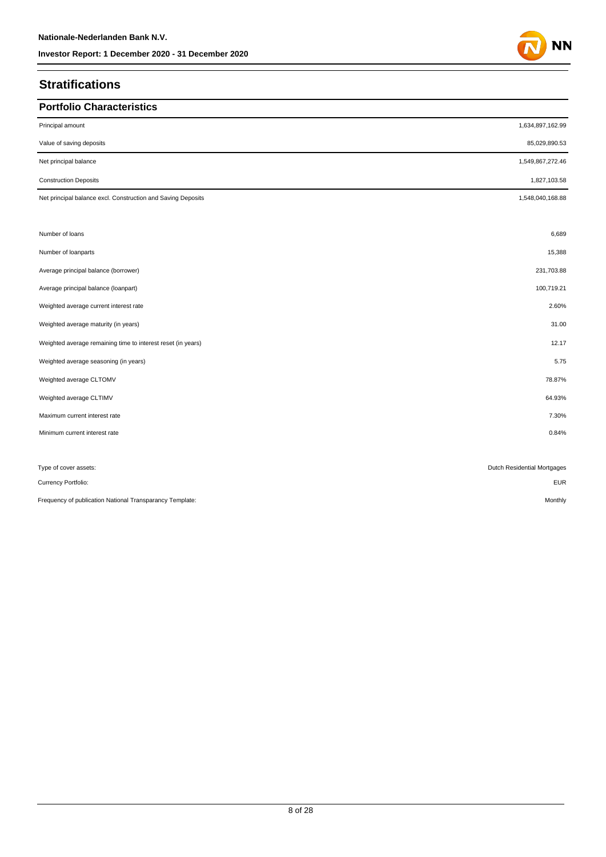## **Stratifications**

| <b>Portfolio Characteristics</b>                             |                             |
|--------------------------------------------------------------|-----------------------------|
| Principal amount                                             | 1,634,897,162.99            |
| Value of saving deposits                                     | 85,029,890.53               |
| Net principal balance                                        | 1,549,867,272.46            |
| <b>Construction Deposits</b>                                 | 1,827,103.58                |
| Net principal balance excl. Construction and Saving Deposits | 1,548,040,168.88            |
|                                                              |                             |
| Number of loans                                              | 6,689                       |
| Number of loanparts                                          | 15,388                      |
| Average principal balance (borrower)                         | 231,703.88                  |
| Average principal balance (loanpart)                         | 100,719.21                  |
| Weighted average current interest rate                       | 2.60%                       |
| Weighted average maturity (in years)                         | 31.00                       |
| Weighted average remaining time to interest reset (in years) | 12.17                       |
| Weighted average seasoning (in years)                        | 5.75                        |
| Weighted average CLTOMV                                      | 78.87%                      |
| Weighted average CLTIMV                                      | 64.93%                      |
| Maximum current interest rate                                | 7.30%                       |
| Minimum current interest rate                                | 0.84%                       |
|                                                              |                             |
| Type of cover assets:                                        | Dutch Residential Mortgages |
| Currency Portfolio:                                          | <b>EUR</b>                  |
| Frequency of publication National Transparancy Template:     | Monthly                     |

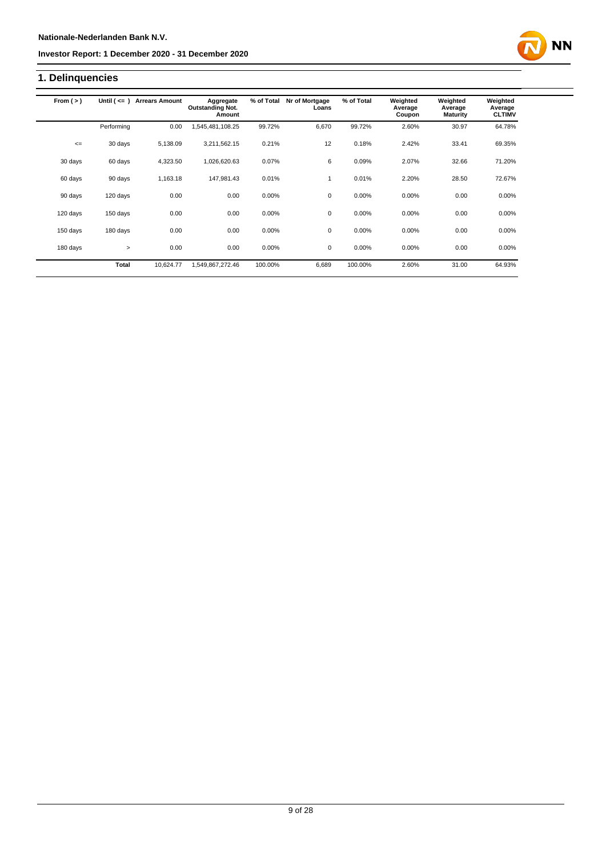## **1. Delinquencies**

| From $(>)$ | Until $($ <= $)$ | <b>Arrears Amount</b> | Aggregate<br><b>Outstanding Not.</b><br>Amount | % of Total | Nr of Mortgage<br>Loans | % of Total | Weighted<br>Average<br>Coupon | Weighted<br>Average<br><b>Maturity</b> | Weighted<br>Average<br><b>CLTIMV</b> |
|------------|------------------|-----------------------|------------------------------------------------|------------|-------------------------|------------|-------------------------------|----------------------------------------|--------------------------------------|
|            | Performing       | 0.00                  | ,545,481,108.25                                | 99.72%     | 6,670                   | 99.72%     | 2.60%                         | 30.97                                  | 64.78%                               |
| $\leq$     | 30 days          | 5,138.09              | 3,211,562.15                                   | 0.21%      | 12                      | 0.18%      | 2.42%                         | 33.41                                  | 69.35%                               |
| 30 days    | 60 days          | 4,323.50              | 1,026,620.63                                   | 0.07%      | 6                       | 0.09%      | 2.07%                         | 32.66                                  | 71.20%                               |
| 60 days    | 90 days          | 1,163.18              | 147,981.43                                     | 0.01%      |                         | 0.01%      | 2.20%                         | 28.50                                  | 72.67%                               |
| 90 days    | 120 days         | 0.00                  | 0.00                                           | 0.00%      | 0                       | 0.00%      | 0.00%                         | 0.00                                   | $0.00\%$                             |
| 120 days   | 150 days         | 0.00                  | 0.00                                           | 0.00%      | 0                       | 0.00%      | 0.00%                         | 0.00                                   | 0.00%                                |
| 150 days   | 180 days         | 0.00                  | 0.00                                           | 0.00%      | 0                       | 0.00%      | 0.00%                         | 0.00                                   | 0.00%                                |
| 180 days   | $\geq$           | 0.00                  | 0.00                                           | 0.00%      | $\mathbf 0$             | 0.00%      | 0.00%                         | 0.00                                   | 0.00%                                |
|            | Total            | 10,624.77             | 1,549,867,272.46                               | 100.00%    | 6,689                   | 100.00%    | 2.60%                         | 31.00                                  | 64.93%                               |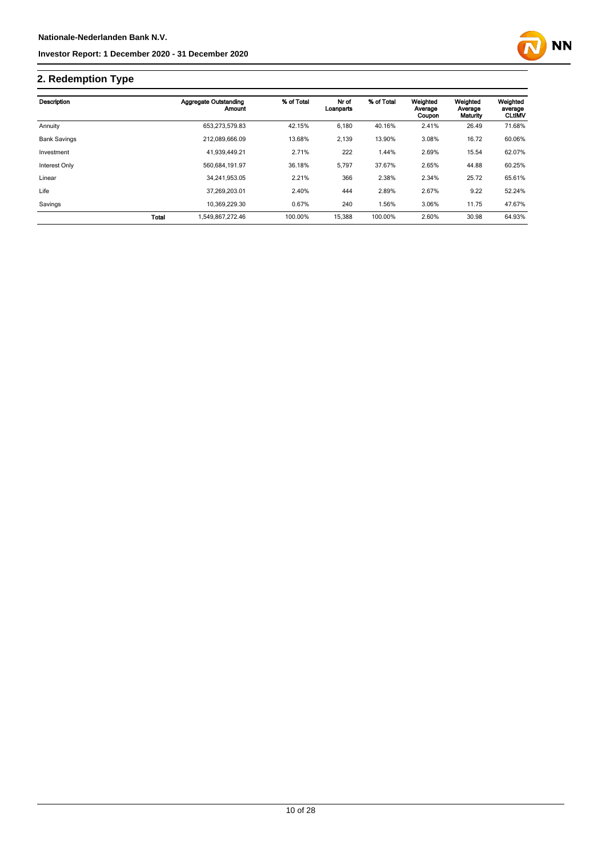

## **2. Redemption Type**

| Description         |              | Aggregate Outstanding<br>Amount | % of Total | Nr of<br>Loanparts | % of Total | Weighted<br>Average<br>Coupon | Weighted<br>Average<br>Maturity | Weighted<br>average<br><b>CLUMV</b> |
|---------------------|--------------|---------------------------------|------------|--------------------|------------|-------------------------------|---------------------------------|-------------------------------------|
| Annuity             |              | 653,273,579.83                  | 42.15%     | 6,180              | 40.16%     | 2.41%                         | 26.49                           | 71.68%                              |
| <b>Bank Savings</b> |              | 212.089.666.09                  | 13.68%     | 2,139              | 13.90%     | 3.08%                         | 16.72                           | 60.06%                              |
| Investment          |              | 41,939,449.21                   | 2.71%      | 222                | 1.44%      | 2.69%                         | 15.54                           | 62.07%                              |
| Interest Only       |              | 560.684.191.97                  | 36.18%     | 5,797              | 37.67%     | 2.65%                         | 44.88                           | 60.25%                              |
| Linear              |              | 34.241.953.05                   | 2.21%      | 366                | 2.38%      | 2.34%                         | 25.72                           | 65.61%                              |
| Life                |              | 37.269.203.01                   | 2.40%      | 444                | 2.89%      | 2.67%                         | 9.22                            | 52.24%                              |
| Savings             |              | 10.369.229.30                   | 0.67%      | 240                | 1.56%      | 3.06%                         | 11.75                           | 47.67%                              |
|                     | <b>Total</b> | 1.549.867.272.46                | 100.00%    | 15,388             | 100.00%    | 2.60%                         | 30.98                           | 64.93%                              |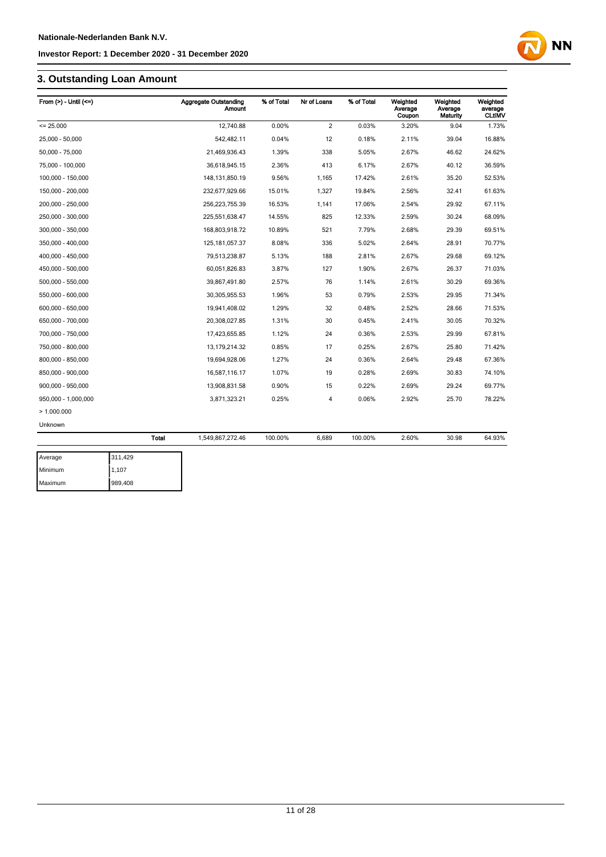## **3. Outstanding Loan Amount**

Maximum 989,408

| From $(>)$ - Until $(<=)$ |              | <b>Aggregate Outstanding</b><br>Amount | % of Total | Nr of Loans    | % of Total | Weighted<br>Average<br>Coupon | Weighted<br>Average<br><b>Maturity</b> | Weighted<br>average<br><b>CLtIMV</b> |
|---------------------------|--------------|----------------------------------------|------------|----------------|------------|-------------------------------|----------------------------------------|--------------------------------------|
| $= 25.000$                |              | 12,740.88                              | 0.00%      | $\overline{2}$ | 0.03%      | 3.20%                         | 9.04                                   | 1.73%                                |
| 25,000 - 50,000           |              | 542,482.11                             | 0.04%      | 12             | 0.18%      | 2.11%                         | 39.04                                  | 16.88%                               |
| 50,000 - 75,000           |              | 21,469,936.43                          | 1.39%      | 338            | 5.05%      | 2.67%                         | 46.62                                  | 24.62%                               |
| 75,000 - 100,000          |              | 36,618,945.15                          | 2.36%      | 413            | 6.17%      | 2.67%                         | 40.12                                  | 36.59%                               |
| 100,000 - 150,000         |              | 148, 131, 850. 19                      | 9.56%      | 1,165          | 17.42%     | 2.61%                         | 35.20                                  | 52.53%                               |
| 150,000 - 200,000         |              | 232,677,929.66                         | 15.01%     | 1,327          | 19.84%     | 2.56%                         | 32.41                                  | 61.63%                               |
| 200,000 - 250,000         |              | 256,223,755.39                         | 16.53%     | 1,141          | 17.06%     | 2.54%                         | 29.92                                  | 67.11%                               |
| 250,000 - 300,000         |              | 225,551,638.47                         | 14.55%     | 825            | 12.33%     | 2.59%                         | 30.24                                  | 68.09%                               |
| 300,000 - 350,000         |              | 168,803,918.72                         | 10.89%     | 521            | 7.79%      | 2.68%                         | 29.39                                  | 69.51%                               |
| 350,000 - 400,000         |              | 125, 181, 057.37                       | 8.08%      | 336            | 5.02%      | 2.64%                         | 28.91                                  | 70.77%                               |
| 400,000 - 450,000         |              | 79,513,238.87                          | 5.13%      | 188            | 2.81%      | 2.67%                         | 29.68                                  | 69.12%                               |
| 450,000 - 500,000         |              | 60,051,826.83                          | 3.87%      | 127            | 1.90%      | 2.67%                         | 26.37                                  | 71.03%                               |
| 500,000 - 550,000         |              | 39,867,491.80                          | 2.57%      | 76             | 1.14%      | 2.61%                         | 30.29                                  | 69.36%                               |
| 550,000 - 600,000         |              | 30,305,955.53                          | 1.96%      | 53             | 0.79%      | 2.53%                         | 29.95                                  | 71.34%                               |
| 600,000 - 650,000         |              | 19,941,408.02                          | 1.29%      | 32             | 0.48%      | 2.52%                         | 28.66                                  | 71.53%                               |
| 650,000 - 700,000         |              | 20,308,027.85                          | 1.31%      | 30             | 0.45%      | 2.41%                         | 30.05                                  | 70.32%                               |
| 700,000 - 750,000         |              | 17,423,655.85                          | 1.12%      | 24             | 0.36%      | 2.53%                         | 29.99                                  | 67.81%                               |
| 750,000 - 800,000         |              | 13, 179, 214. 32                       | 0.85%      | 17             | 0.25%      | 2.67%                         | 25.80                                  | 71.42%                               |
| 800,000 - 850,000         |              | 19,694,928.06                          | 1.27%      | 24             | 0.36%      | 2.64%                         | 29.48                                  | 67.36%                               |
| 850,000 - 900,000         |              | 16,587,116.17                          | 1.07%      | 19             | 0.28%      | 2.69%                         | 30.83                                  | 74.10%                               |
| 900,000 - 950,000         |              | 13,908,831.58                          | 0.90%      | 15             | 0.22%      | 2.69%                         | 29.24                                  | 69.77%                               |
| 950,000 - 1,000,000       |              | 3,871,323.21                           | 0.25%      | 4              | 0.06%      | 2.92%                         | 25.70                                  | 78.22%                               |
| >1.000.000                |              |                                        |            |                |            |                               |                                        |                                      |
| Unknown                   |              |                                        |            |                |            |                               |                                        |                                      |
|                           | <b>Total</b> | 1,549,867,272.46                       | 100.00%    | 6,689          | 100.00%    | 2.60%                         | 30.98                                  | 64.93%                               |
| Average                   | 311,429      |                                        |            |                |            |                               |                                        |                                      |
| Minimum                   | 1,107        |                                        |            |                |            |                               |                                        |                                      |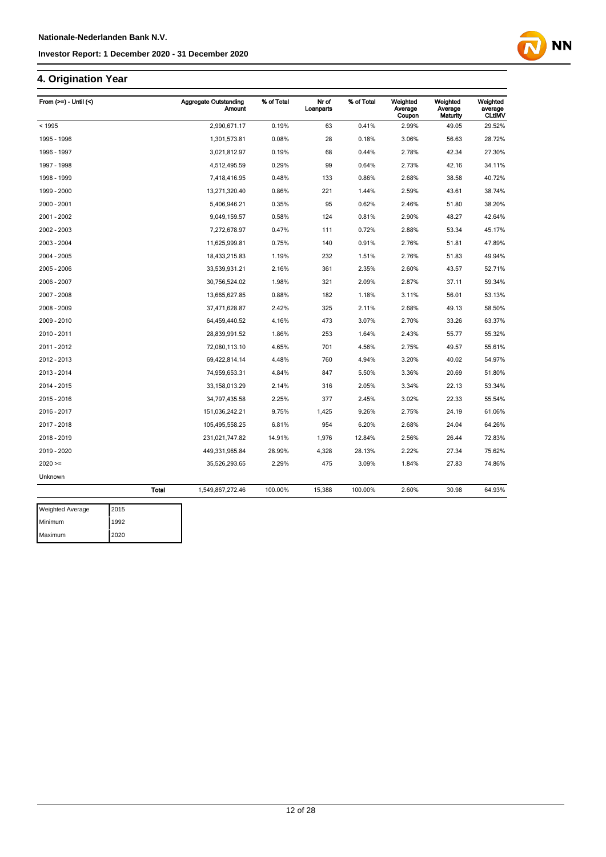## **4. Origination Year**

| From $(>=)$ - Until $($ |              | Aggregate Outstanding<br>Amount | % of Total | Nr of<br>Loanparts | % of Total | Weighted<br>Average<br>Coupon | Weighted<br>Average<br>Maturity | Weighted<br>average<br><b>CLtIMV</b> |
|-------------------------|--------------|---------------------------------|------------|--------------------|------------|-------------------------------|---------------------------------|--------------------------------------|
| < 1995                  |              | 2,990,671.17                    | 0.19%      | 63                 | 0.41%      | 2.99%                         | 49.05                           | 29.52%                               |
| 1995 - 1996             |              | 1,301,573.81                    | 0.08%      | 28                 | 0.18%      | 3.06%                         | 56.63                           | 28.72%                               |
| 1996 - 1997             |              | 3,021,812.97                    | 0.19%      | 68                 | 0.44%      | 2.78%                         | 42.34                           | 27.30%                               |
| 1997 - 1998             |              | 4,512,495.59                    | 0.29%      | 99                 | 0.64%      | 2.73%                         | 42.16                           | 34.11%                               |
| 1998 - 1999             |              | 7,418,416.95                    | 0.48%      | 133                | 0.86%      | 2.68%                         | 38.58                           | 40.72%                               |
| 1999 - 2000             |              | 13,271,320.40                   | 0.86%      | 221                | 1.44%      | 2.59%                         | 43.61                           | 38.74%                               |
| 2000 - 2001             |              | 5,406,946.21                    | 0.35%      | 95                 | 0.62%      | 2.46%                         | 51.80                           | 38.20%                               |
| 2001 - 2002             |              | 9,049,159.57                    | 0.58%      | 124                | 0.81%      | 2.90%                         | 48.27                           | 42.64%                               |
| 2002 - 2003             |              | 7,272,678.97                    | 0.47%      | 111                | 0.72%      | 2.88%                         | 53.34                           | 45.17%                               |
| 2003 - 2004             |              | 11,625,999.81                   | 0.75%      | 140                | 0.91%      | 2.76%                         | 51.81                           | 47.89%                               |
| 2004 - 2005             |              | 18,433,215.83                   | 1.19%      | 232                | 1.51%      | 2.76%                         | 51.83                           | 49.94%                               |
| 2005 - 2006             |              | 33,539,931.21                   | 2.16%      | 361                | 2.35%      | 2.60%                         | 43.57                           | 52.71%                               |
| 2006 - 2007             |              | 30,756,524.02                   | 1.98%      | 321                | 2.09%      | 2.87%                         | 37.11                           | 59.34%                               |
| 2007 - 2008             |              | 13,665,627.85                   | 0.88%      | 182                | 1.18%      | 3.11%                         | 56.01                           | 53.13%                               |
| 2008 - 2009             |              | 37,471,628.87                   | 2.42%      | 325                | 2.11%      | 2.68%                         | 49.13                           | 58.50%                               |
| 2009 - 2010             |              | 64,459,440.52                   | 4.16%      | 473                | 3.07%      | 2.70%                         | 33.26                           | 63.37%                               |
| 2010 - 2011             |              | 28,839,991.52                   | 1.86%      | 253                | 1.64%      | 2.43%                         | 55.77                           | 55.32%                               |
| 2011 - 2012             |              | 72,080,113.10                   | 4.65%      | 701                | 4.56%      | 2.75%                         | 49.57                           | 55.61%                               |
| 2012 - 2013             |              | 69,422,814.14                   | 4.48%      | 760                | 4.94%      | 3.20%                         | 40.02                           | 54.97%                               |
| 2013 - 2014             |              | 74,959,653.31                   | 4.84%      | 847                | 5.50%      | 3.36%                         | 20.69                           | 51.80%                               |
| 2014 - 2015             |              | 33,158,013.29                   | 2.14%      | 316                | 2.05%      | 3.34%                         | 22.13                           | 53.34%                               |
| 2015 - 2016             |              | 34,797,435.58                   | 2.25%      | 377                | 2.45%      | 3.02%                         | 22.33                           | 55.54%                               |
| 2016 - 2017             |              | 151,036,242.21                  | 9.75%      | 1,425              | 9.26%      | 2.75%                         | 24.19                           | 61.06%                               |
| 2017 - 2018             |              | 105,495,558.25                  | 6.81%      | 954                | 6.20%      | 2.68%                         | 24.04                           | 64.26%                               |
| 2018 - 2019             |              | 231,021,747.82                  | 14.91%     | 1,976              | 12.84%     | 2.56%                         | 26.44                           | 72.83%                               |
| 2019 - 2020             |              | 449,331,965.84                  | 28.99%     | 4,328              | 28.13%     | 2.22%                         | 27.34                           | 75.62%                               |
| $2020 =$                |              | 35,526,293.65                   | 2.29%      | 475                | 3.09%      | 1.84%                         | 27.83                           | 74.86%                               |
| Unknown                 |              |                                 |            |                    |            |                               |                                 |                                      |
|                         | <b>Total</b> | 1,549,867,272.46                | 100.00%    | 15,388             | 100.00%    | 2.60%                         | 30.98                           | 64.93%                               |

| <b>Weighted Average</b> | 2015 |
|-------------------------|------|
| Minimum                 | 1992 |
| Maximum                 | 2020 |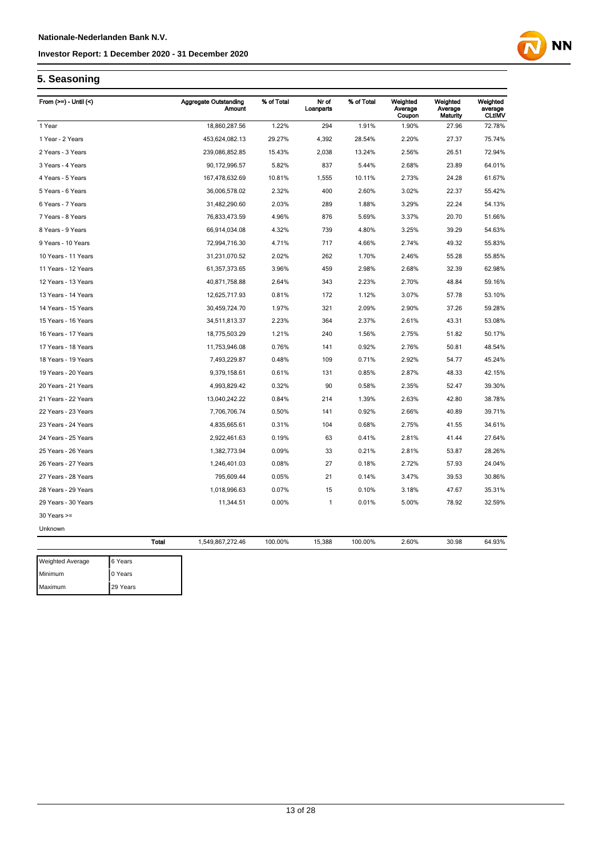

## **5. Seasoning**

Maximum 29 Years

| From $(>=)$ - Until $($ |              | <b>Aggregate Outstanding</b><br><b>Amount</b> | % of Total | Nr of<br>Loanparts | % of Total | Weighted<br>Average | Weighted<br>Average | Weighted<br>average |
|-------------------------|--------------|-----------------------------------------------|------------|--------------------|------------|---------------------|---------------------|---------------------|
|                         |              |                                               |            |                    |            | Coupon              | Maturity            | <b>CLtIMV</b>       |
| 1 Year                  |              | 18,860,287.56                                 | 1.22%      | 294                | 1.91%      | 1.90%               | 27.96               | 72.78%              |
| 1 Year - 2 Years        |              | 453,624,082.13                                | 29.27%     | 4,392              | 28.54%     | 2.20%               | 27.37               | 75.74%              |
| 2 Years - 3 Years       |              | 239,086,852.85                                | 15.43%     | 2,038              | 13.24%     | 2.56%               | 26.51               | 72.94%              |
| 3 Years - 4 Years       |              | 90,172,996.57                                 | 5.82%      | 837                | 5.44%      | 2.68%               | 23.89               | 64.01%              |
| 4 Years - 5 Years       |              | 167,478,632.69                                | 10.81%     | 1,555              | 10.11%     | 2.73%               | 24.28               | 61.67%              |
| 5 Years - 6 Years       |              | 36,006,578.02                                 | 2.32%      | 400                | 2.60%      | 3.02%               | 22.37               | 55.42%              |
| 6 Years - 7 Years       |              | 31,482,290.60                                 | 2.03%      | 289                | 1.88%      | 3.29%               | 22.24               | 54.13%              |
| 7 Years - 8 Years       |              | 76,833,473.59                                 | 4.96%      | 876                | 5.69%      | 3.37%               | 20.70               | 51.66%              |
| 8 Years - 9 Years       |              | 66,914,034.08                                 | 4.32%      | 739                | 4.80%      | 3.25%               | 39.29               | 54.63%              |
| 9 Years - 10 Years      |              | 72,994,716.30                                 | 4.71%      | 717                | 4.66%      | 2.74%               | 49.32               | 55.83%              |
| 10 Years - 11 Years     |              | 31,231,070.52                                 | 2.02%      | 262                | 1.70%      | 2.46%               | 55.28               | 55.85%              |
| 11 Years - 12 Years     |              | 61,357,373.65                                 | 3.96%      | 459                | 2.98%      | 2.68%               | 32.39               | 62.98%              |
| 12 Years - 13 Years     |              | 40,871,758.88                                 | 2.64%      | 343                | 2.23%      | 2.70%               | 48.84               | 59.16%              |
| 13 Years - 14 Years     |              | 12,625,717.93                                 | 0.81%      | 172                | 1.12%      | 3.07%               | 57.78               | 53.10%              |
| 14 Years - 15 Years     |              | 30,459,724.70                                 | 1.97%      | 321                | 2.09%      | 2.90%               | 37.26               | 59.28%              |
| 15 Years - 16 Years     |              | 34,511,813.37                                 | 2.23%      | 364                | 2.37%      | 2.61%               | 43.31               | 53.08%              |
| 16 Years - 17 Years     |              | 18,775,503.29                                 | 1.21%      | 240                | 1.56%      | 2.75%               | 51.82               | 50.17%              |
| 17 Years - 18 Years     |              | 11,753,946.08                                 | 0.76%      | 141                | 0.92%      | 2.76%               | 50.81               | 48.54%              |
| 18 Years - 19 Years     |              | 7,493,229.87                                  | 0.48%      | 109                | 0.71%      | 2.92%               | 54.77               | 45.24%              |
| 19 Years - 20 Years     |              | 9,379,158.61                                  | 0.61%      | 131                | 0.85%      | 2.87%               | 48.33               | 42.15%              |
| 20 Years - 21 Years     |              | 4,993,829.42                                  | 0.32%      | 90                 | 0.58%      | 2.35%               | 52.47               | 39.30%              |
| 21 Years - 22 Years     |              | 13,040,242.22                                 | 0.84%      | 214                | 1.39%      | 2.63%               | 42.80               | 38.78%              |
| 22 Years - 23 Years     |              | 7,706,706.74                                  | 0.50%      | 141                | 0.92%      | 2.66%               | 40.89               | 39.71%              |
| 23 Years - 24 Years     |              | 4,835,665.61                                  | 0.31%      | 104                | 0.68%      | 2.75%               | 41.55               | 34.61%              |
| 24 Years - 25 Years     |              | 2,922,461.63                                  | 0.19%      | 63                 | 0.41%      | 2.81%               | 41.44               | 27.64%              |
| 25 Years - 26 Years     |              | 1,382,773.94                                  | 0.09%      | 33                 | 0.21%      | 2.81%               | 53.87               | 28.26%              |
| 26 Years - 27 Years     |              | 1,246,401.03                                  | 0.08%      | 27                 | 0.18%      | 2.72%               | 57.93               | 24.04%              |
| 27 Years - 28 Years     |              | 795,609.44                                    | 0.05%      | 21                 | 0.14%      | 3.47%               | 39.53               | 30.86%              |
| 28 Years - 29 Years     |              | 1,018,996.63                                  | 0.07%      | 15                 | 0.10%      | 3.18%               | 47.67               | 35.31%              |
| 29 Years - 30 Years     |              | 11,344.51                                     | 0.00%      | 1                  | 0.01%      | 5.00%               | 78.92               | 32.59%              |
| 30 Years >=             |              |                                               |            |                    |            |                     |                     |                     |
| Unknown                 |              |                                               |            |                    |            |                     |                     |                     |
|                         | <b>Total</b> | 1,549,867,272.46                              | 100.00%    | 15,388             | 100.00%    | 2.60%               | 30.98               | 64.93%              |
|                         |              |                                               |            |                    |            |                     |                     |                     |
| <b>Weighted Average</b> | 6 Years      |                                               |            |                    |            |                     |                     |                     |
| Minimum                 | 0 Years      |                                               |            |                    |            |                     |                     |                     |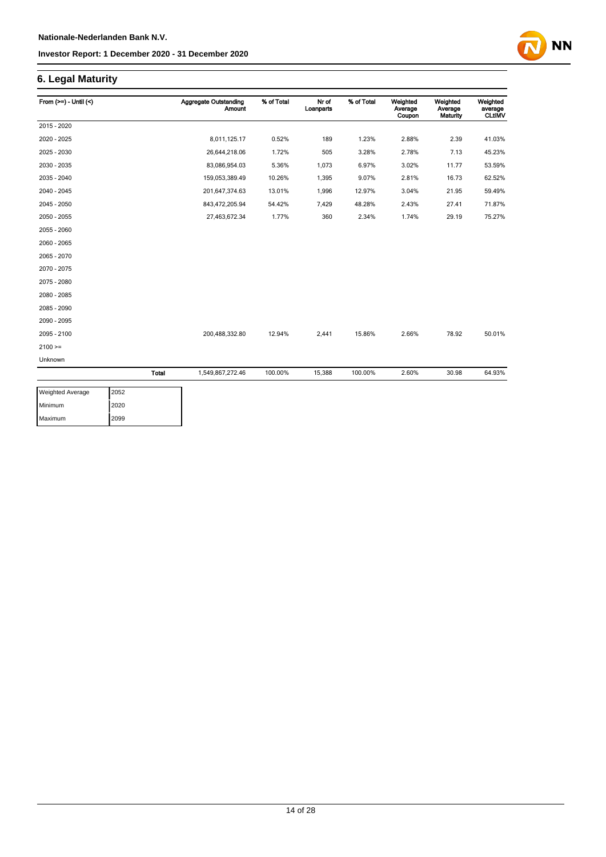**NN** 

## **6. Legal Maturity**

| From $(>=) -$ Until $($ |       | <b>Aggregate Outstanding</b><br><b>Amount</b> | % of Total | Nr of<br>Loanparts | % of Total | Weighted<br>Average<br>Coupon | Weighted<br>Average<br>Maturity | Weighted<br>average<br><b>CLtIMV</b> |
|-------------------------|-------|-----------------------------------------------|------------|--------------------|------------|-------------------------------|---------------------------------|--------------------------------------|
| 2015 - 2020             |       |                                               |            |                    |            |                               |                                 |                                      |
| 2020 - 2025             |       | 8,011,125.17                                  | 0.52%      | 189                | 1.23%      | 2.88%                         | 2.39                            | 41.03%                               |
| 2025 - 2030             |       | 26,644,218.06                                 | 1.72%      | 505                | 3.28%      | 2.78%                         | 7.13                            | 45.23%                               |
| 2030 - 2035             |       | 83,086,954.03                                 | 5.36%      | 1,073              | 6.97%      | 3.02%                         | 11.77                           | 53.59%                               |
| 2035 - 2040             |       | 159,053,389.49                                | 10.26%     | 1,395              | 9.07%      | 2.81%                         | 16.73                           | 62.52%                               |
| 2040 - 2045             |       | 201,647,374.63                                | 13.01%     | 1,996              | 12.97%     | 3.04%                         | 21.95                           | 59.49%                               |
| 2045 - 2050             |       | 843,472,205.94                                | 54.42%     | 7,429              | 48.28%     | 2.43%                         | 27.41                           | 71.87%                               |
| 2050 - 2055             |       | 27,463,672.34                                 | 1.77%      | 360                | 2.34%      | 1.74%                         | 29.19                           | 75.27%                               |
| 2055 - 2060             |       |                                               |            |                    |            |                               |                                 |                                      |
| 2060 - 2065             |       |                                               |            |                    |            |                               |                                 |                                      |
| 2065 - 2070             |       |                                               |            |                    |            |                               |                                 |                                      |
| 2070 - 2075             |       |                                               |            |                    |            |                               |                                 |                                      |
| 2075 - 2080             |       |                                               |            |                    |            |                               |                                 |                                      |
| 2080 - 2085             |       |                                               |            |                    |            |                               |                                 |                                      |
| 2085 - 2090             |       |                                               |            |                    |            |                               |                                 |                                      |
| 2090 - 2095             |       |                                               |            |                    |            |                               |                                 |                                      |
| 2095 - 2100             |       | 200,488,332.80                                | 12.94%     | 2,441              | 15.86%     | 2.66%                         | 78.92                           | 50.01%                               |
| $2100 =$                |       |                                               |            |                    |            |                               |                                 |                                      |
| Unknown                 |       |                                               |            |                    |            |                               |                                 |                                      |
|                         | Total | 1,549,867,272.46                              | 100.00%    | 15,388             | 100.00%    | 2.60%                         | 30.98                           | 64.93%                               |

| <b>Weighted Average</b> | 2052 |
|-------------------------|------|
| Minimum                 | 2020 |
| Maximum                 | 2099 |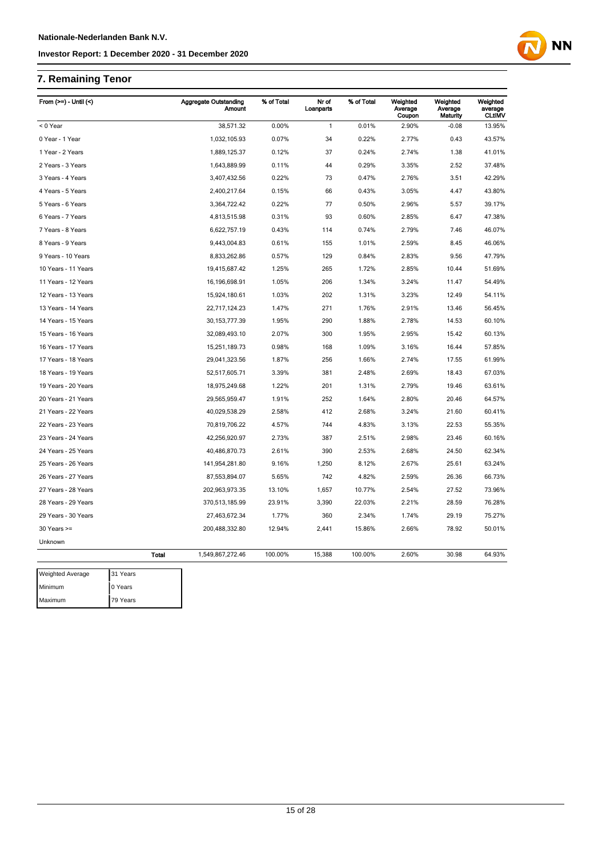## **7. Remaining Tenor**

Maximum 79 Years

| From (>=) - Until (<)   |              | <b>Aggregate Outstanding</b><br>Amount | % of Total | Nr of<br>Loanparts | % of Total | Weighted<br>Average<br>Coupon | Weighted<br>Average<br>Maturity | Weighted<br>average<br><b>CLtIMV</b> |
|-------------------------|--------------|----------------------------------------|------------|--------------------|------------|-------------------------------|---------------------------------|--------------------------------------|
| < 0 Year                |              | 38,571.32                              | 0.00%      | $\mathbf{1}$       | 0.01%      | 2.90%                         | $-0.08$                         | 13.95%                               |
| 0 Year - 1 Year         |              | 1,032,105.93                           | 0.07%      | 34                 | 0.22%      | 2.77%                         | 0.43                            | 43.57%                               |
| 1 Year - 2 Years        |              | 1,889,125.37                           | 0.12%      | 37                 | 0.24%      | 2.74%                         | 1.38                            | 41.01%                               |
| 2 Years - 3 Years       |              | 1,643,889.99                           | 0.11%      | 44                 | 0.29%      | 3.35%                         | 2.52                            | 37.48%                               |
| 3 Years - 4 Years       |              | 3,407,432.56                           | 0.22%      | 73                 | 0.47%      | 2.76%                         | 3.51                            | 42.29%                               |
| 4 Years - 5 Years       |              | 2,400,217.64                           | 0.15%      | 66                 | 0.43%      | 3.05%                         | 4.47                            | 43.80%                               |
| 5 Years - 6 Years       |              | 3,364,722.42                           | 0.22%      | 77                 | 0.50%      | 2.96%                         | 5.57                            | 39.17%                               |
| 6 Years - 7 Years       |              | 4,813,515.98                           | 0.31%      | 93                 | 0.60%      | 2.85%                         | 6.47                            | 47.38%                               |
| 7 Years - 8 Years       |              | 6,622,757.19                           | 0.43%      | 114                | 0.74%      | 2.79%                         | 7.46                            | 46.07%                               |
| 8 Years - 9 Years       |              | 9,443,004.83                           | 0.61%      | 155                | 1.01%      | 2.59%                         | 8.45                            | 46.06%                               |
| 9 Years - 10 Years      |              | 8,833,262.86                           | 0.57%      | 129                | 0.84%      | 2.83%                         | 9.56                            | 47.79%                               |
| 10 Years - 11 Years     |              | 19,415,687.42                          | 1.25%      | 265                | 1.72%      | 2.85%                         | 10.44                           | 51.69%                               |
| 11 Years - 12 Years     |              | 16,196,698.91                          | 1.05%      | 206                | 1.34%      | 3.24%                         | 11.47                           | 54.49%                               |
| 12 Years - 13 Years     |              | 15,924,180.61                          | 1.03%      | 202                | 1.31%      | 3.23%                         | 12.49                           | 54.11%                               |
| 13 Years - 14 Years     |              | 22,717,124.23                          | 1.47%      | 271                | 1.76%      | 2.91%                         | 13.46                           | 56.45%                               |
| 14 Years - 15 Years     |              | 30, 153, 777. 39                       | 1.95%      | 290                | 1.88%      | 2.78%                         | 14.53                           | 60.10%                               |
| 15 Years - 16 Years     |              | 32,089,493.10                          | 2.07%      | 300                | 1.95%      | 2.95%                         | 15.42                           | 60.13%                               |
| 16 Years - 17 Years     |              | 15,251,189.73                          | 0.98%      | 168                | 1.09%      | 3.16%                         | 16.44                           | 57.85%                               |
| 17 Years - 18 Years     |              | 29,041,323.56                          | 1.87%      | 256                | 1.66%      | 2.74%                         | 17.55                           | 61.99%                               |
| 18 Years - 19 Years     |              | 52,517,605.71                          | 3.39%      | 381                | 2.48%      | 2.69%                         | 18.43                           | 67.03%                               |
| 19 Years - 20 Years     |              | 18,975,249.68                          | 1.22%      | 201                | 1.31%      | 2.79%                         | 19.46                           | 63.61%                               |
| 20 Years - 21 Years     |              | 29,565,959.47                          | 1.91%      | 252                | 1.64%      | 2.80%                         | 20.46                           | 64.57%                               |
| 21 Years - 22 Years     |              | 40,029,538.29                          | 2.58%      | 412                | 2.68%      | 3.24%                         | 21.60                           | 60.41%                               |
| 22 Years - 23 Years     |              | 70,819,706.22                          | 4.57%      | 744                | 4.83%      | 3.13%                         | 22.53                           | 55.35%                               |
| 23 Years - 24 Years     |              | 42,256,920.97                          | 2.73%      | 387                | 2.51%      | 2.98%                         | 23.46                           | 60.16%                               |
| 24 Years - 25 Years     |              | 40,486,870.73                          | 2.61%      | 390                | 2.53%      | 2.68%                         | 24.50                           | 62.34%                               |
| 25 Years - 26 Years     |              | 141,954,281.80                         | 9.16%      | 1,250              | 8.12%      | 2.67%                         | 25.61                           | 63.24%                               |
| 26 Years - 27 Years     |              | 87,553,894.07                          | 5.65%      | 742                | 4.82%      | 2.59%                         | 26.36                           | 66.73%                               |
| 27 Years - 28 Years     |              | 202,963,973.35                         | 13.10%     | 1,657              | 10.77%     | 2.54%                         | 27.52                           | 73.96%                               |
| 28 Years - 29 Years     |              | 370,513,185.99                         | 23.91%     | 3,390              | 22.03%     | 2.21%                         | 28.59                           | 76.28%                               |
| 29 Years - 30 Years     |              | 27,463,672.34                          | 1.77%      | 360                | 2.34%      | 1.74%                         | 29.19                           | 75.27%                               |
| $30$ Years $>=$         |              | 200,488,332.80                         | 12.94%     | 2,441              | 15.86%     | 2.66%                         | 78.92                           | 50.01%                               |
| Unknown                 |              |                                        |            |                    |            |                               |                                 |                                      |
|                         | <b>Total</b> | 1,549,867,272.46                       | 100.00%    | 15,388             | 100.00%    | 2.60%                         | 30.98                           | 64.93%                               |
| <b>Weighted Average</b> | 31 Years     |                                        |            |                    |            |                               |                                 |                                      |
| Minimum                 | 0 Years      |                                        |            |                    |            |                               |                                 |                                      |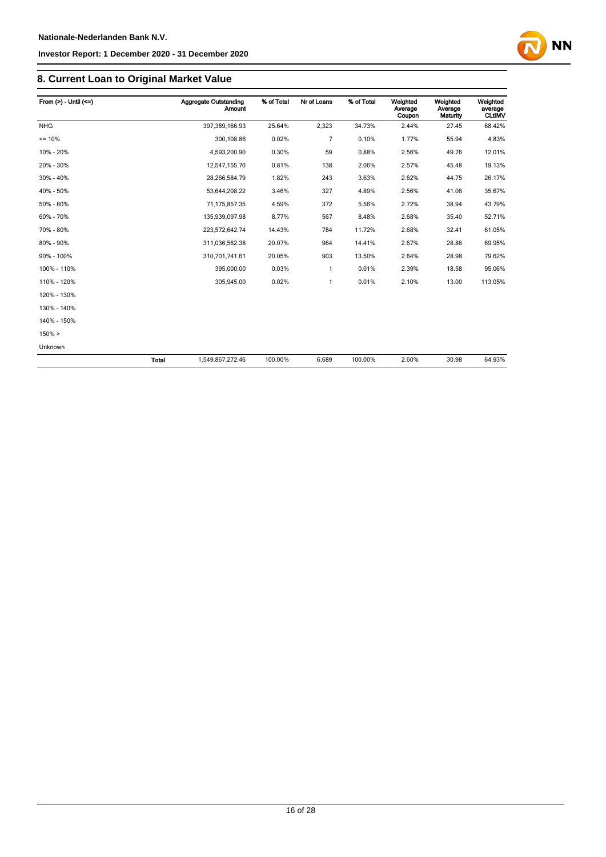## **8. Current Loan to Original Market Value**

| From $(>)$ - Until $(<=)$ |       | Aggregate Outstanding<br><b>Amount</b> | % of Total | Nr of Loans    | % of Total | Weighted<br>Average<br>Coupon | Weighted<br>Average<br>Maturity | Weighted<br>average<br><b>CLtIMV</b> |
|---------------------------|-------|----------------------------------------|------------|----------------|------------|-------------------------------|---------------------------------|--------------------------------------|
| <b>NHG</b>                |       | 397,389,166.93                         | 25.64%     | 2,323          | 34.73%     | 2.44%                         | 27.45                           | 68.42%                               |
| $= 10%$                   |       | 300,108.86                             | 0.02%      | $\overline{7}$ | 0.10%      | 1.77%                         | 55.94                           | 4.83%                                |
| 10% - 20%                 |       | 4,593,200.90                           | 0.30%      | 59             | 0.88%      | 2.56%                         | 49.76                           | 12.01%                               |
| 20% - 30%                 |       | 12,547,155.70                          | 0.81%      | 138            | 2.06%      | 2.57%                         | 45.48                           | 19.13%                               |
| 30% - 40%                 |       | 28,266,584.79                          | 1.82%      | 243            | 3.63%      | 2.62%                         | 44.75                           | 26.17%                               |
| 40% - 50%                 |       | 53,644,208.22                          | 3.46%      | 327            | 4.89%      | 2.56%                         | 41.06                           | 35.67%                               |
| 50% - 60%                 |       | 71,175,857.35                          | 4.59%      | 372            | 5.56%      | 2.72%                         | 38.94                           | 43.79%                               |
| 60% - 70%                 |       | 135,939,097.98                         | 8.77%      | 567            | 8.48%      | 2.68%                         | 35.40                           | 52.71%                               |
| 70% - 80%                 |       | 223,572,642.74                         | 14.43%     | 784            | 11.72%     | 2.68%                         | 32.41                           | 61.05%                               |
| 80% - 90%                 |       | 311,036,562.38                         | 20.07%     | 964            | 14.41%     | 2.67%                         | 28.86                           | 69.95%                               |
| 90% - 100%                |       | 310,701,741.61                         | 20.05%     | 903            | 13.50%     | 2.64%                         | 28.98                           | 79.62%                               |
| 100% - 110%               |       | 395,000.00                             | 0.03%      | $\mathbf{1}$   | 0.01%      | 2.39%                         | 18.58                           | 95.06%                               |
| 110% - 120%               |       | 305,945.00                             | 0.02%      | $\mathbf{1}$   | 0.01%      | 2.10%                         | 13.00                           | 113.05%                              |
| 120% - 130%               |       |                                        |            |                |            |                               |                                 |                                      |
| 130% - 140%               |       |                                        |            |                |            |                               |                                 |                                      |
| 140% - 150%               |       |                                        |            |                |            |                               |                                 |                                      |
| 150% >                    |       |                                        |            |                |            |                               |                                 |                                      |
| Unknown                   |       |                                        |            |                |            |                               |                                 |                                      |
|                           | Total | 1,549,867,272.46                       | 100.00%    | 6,689          | 100.00%    | 2.60%                         | 30.98                           | 64.93%                               |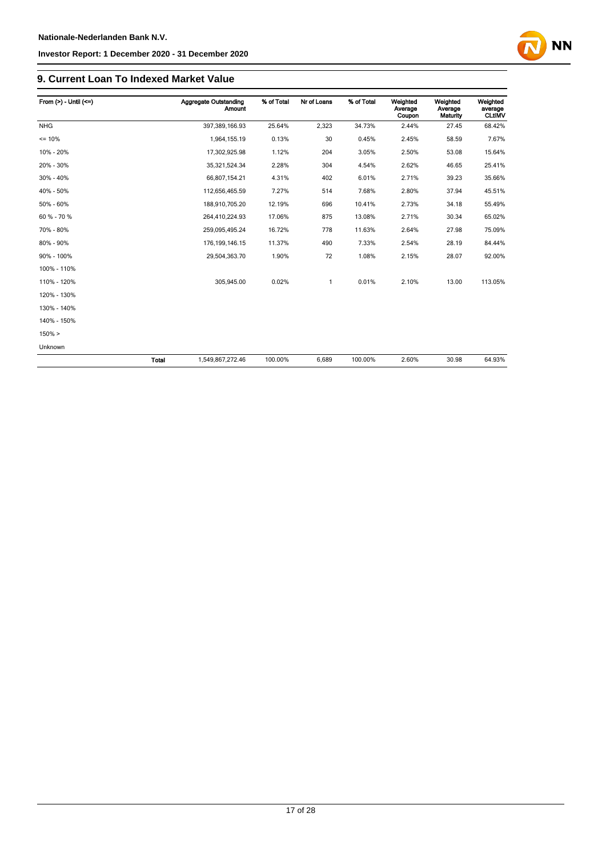#### **9. Current Loan To Indexed Market Value**

| From $(>)$ - Until $(<=)$ |              | Aggregate Outstanding<br><b>Amount</b> | % of Total | Nr of Loans | % of Total | Weighted<br>Average<br>Coupon | Weighted<br>Average<br>Maturity | Weighted<br>average<br><b>CLtIMV</b> |
|---------------------------|--------------|----------------------------------------|------------|-------------|------------|-------------------------------|---------------------------------|--------------------------------------|
| <b>NHG</b>                |              | 397,389,166.93                         | 25.64%     | 2,323       | 34.73%     | 2.44%                         | 27.45                           | 68.42%                               |
| $= 10%$                   |              | 1,964,155.19                           | 0.13%      | 30          | 0.45%      | 2.45%                         | 58.59                           | 7.67%                                |
| 10% - 20%                 |              | 17,302,925.98                          | 1.12%      | 204         | 3.05%      | 2.50%                         | 53.08                           | 15.64%                               |
| 20% - 30%                 |              | 35,321,524.34                          | 2.28%      | 304         | 4.54%      | 2.62%                         | 46.65                           | 25.41%                               |
| 30% - 40%                 |              | 66,807,154.21                          | 4.31%      | 402         | 6.01%      | 2.71%                         | 39.23                           | 35.66%                               |
| 40% - 50%                 |              | 112,656,465.59                         | 7.27%      | 514         | 7.68%      | 2.80%                         | 37.94                           | 45.51%                               |
| 50% - 60%                 |              | 188,910,705.20                         | 12.19%     | 696         | 10.41%     | 2.73%                         | 34.18                           | 55.49%                               |
| 60 % - 70 %               |              | 264,410,224.93                         | 17.06%     | 875         | 13.08%     | 2.71%                         | 30.34                           | 65.02%                               |
| 70% - 80%                 |              | 259,095,495.24                         | 16.72%     | 778         | 11.63%     | 2.64%                         | 27.98                           | 75.09%                               |
| 80% - 90%                 |              | 176, 199, 146. 15                      | 11.37%     | 490         | 7.33%      | 2.54%                         | 28.19                           | 84.44%                               |
| 90% - 100%                |              | 29,504,363.70                          | 1.90%      | 72          | 1.08%      | 2.15%                         | 28.07                           | 92.00%                               |
| 100% - 110%               |              |                                        |            |             |            |                               |                                 |                                      |
| 110% - 120%               |              | 305,945.00                             | 0.02%      | -1          | 0.01%      | 2.10%                         | 13.00                           | 113.05%                              |
| 120% - 130%               |              |                                        |            |             |            |                               |                                 |                                      |
| 130% - 140%               |              |                                        |            |             |            |                               |                                 |                                      |
| 140% - 150%               |              |                                        |            |             |            |                               |                                 |                                      |
| $150\% >$                 |              |                                        |            |             |            |                               |                                 |                                      |
| Unknown                   |              |                                        |            |             |            |                               |                                 |                                      |
|                           | <b>Total</b> | 1,549,867,272.46                       | 100.00%    | 6,689       | 100.00%    | 2.60%                         | 30.98                           | 64.93%                               |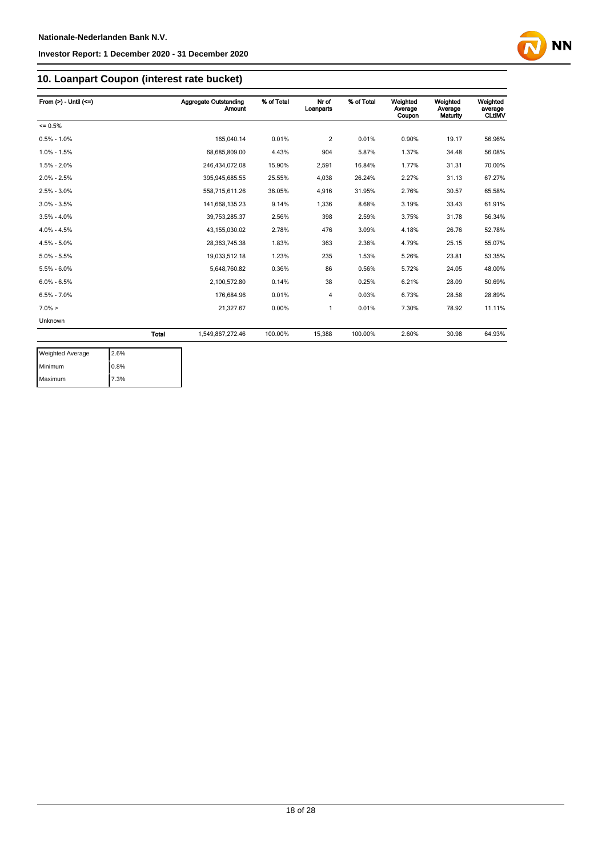

## **10. Loanpart Coupon (interest rate bucket)**

| From $(>) -$ Until $(<=)$ |       | Aggregate Outstanding<br><b>Amount</b> | % of Total | Nr of<br>Loanparts | % of Total | Weighted<br>Average<br>Coupon | Weighted<br>Average<br>Maturity | Weighted<br>average<br><b>CLtIMV</b> |
|---------------------------|-------|----------------------------------------|------------|--------------------|------------|-------------------------------|---------------------------------|--------------------------------------|
| $= 0.5%$                  |       |                                        |            |                    |            |                               |                                 |                                      |
| $0.5\% - 1.0\%$           |       | 165.040.14                             | 0.01%      | $\overline{c}$     | 0.01%      | 0.90%                         | 19.17                           | 56.96%                               |
| $1.0\% - 1.5\%$           |       | 68,685,809.00                          | 4.43%      | 904                | 5.87%      | 1.37%                         | 34.48                           | 56.08%                               |
| $1.5\% - 2.0\%$           |       | 246.434.072.08                         | 15.90%     | 2,591              | 16.84%     | 1.77%                         | 31.31                           | 70.00%                               |
| $2.0\% - 2.5\%$           |       | 395,945,685.55                         | 25.55%     | 4,038              | 26.24%     | 2.27%                         | 31.13                           | 67.27%                               |
| $2.5\% - 3.0\%$           |       | 558,715,611.26                         | 36.05%     | 4,916              | 31.95%     | 2.76%                         | 30.57                           | 65.58%                               |
| $3.0\% - 3.5\%$           |       | 141,668,135.23                         | 9.14%      | 1,336              | 8.68%      | 3.19%                         | 33.43                           | 61.91%                               |
| $3.5\% - 4.0\%$           |       | 39,753,285.37                          | 2.56%      | 398                | 2.59%      | 3.75%                         | 31.78                           | 56.34%                               |
| $4.0\% - 4.5\%$           |       | 43,155,030.02                          | 2.78%      | 476                | 3.09%      | 4.18%                         | 26.76                           | 52.78%                               |
| $4.5\% - 5.0\%$           |       | 28, 363, 745. 38                       | 1.83%      | 363                | 2.36%      | 4.79%                         | 25.15                           | 55.07%                               |
| $5.0\% - 5.5\%$           |       | 19,033,512.18                          | 1.23%      | 235                | 1.53%      | 5.26%                         | 23.81                           | 53.35%                               |
| $5.5\% - 6.0\%$           |       | 5,648,760.82                           | 0.36%      | 86                 | 0.56%      | 5.72%                         | 24.05                           | 48.00%                               |
| $6.0\% - 6.5\%$           |       | 2,100,572.80                           | 0.14%      | 38                 | 0.25%      | 6.21%                         | 28.09                           | 50.69%                               |
| $6.5\% - 7.0\%$           |       | 176,684.96                             | 0.01%      | 4                  | 0.03%      | 6.73%                         | 28.58                           | 28.89%                               |
| $7.0\% >$                 |       | 21,327.67                              | 0.00%      | 1                  | 0.01%      | 7.30%                         | 78.92                           | 11.11%                               |
| Unknown                   |       |                                        |            |                    |            |                               |                                 |                                      |
|                           | Total | 1,549,867,272.46                       | 100.00%    | 15,388             | 100.00%    | 2.60%                         | 30.98                           | 64.93%                               |

| <b>Weighted Average</b> | 2.6% |
|-------------------------|------|
| Minimum                 | 0.8% |
| Maximum                 | 7.3% |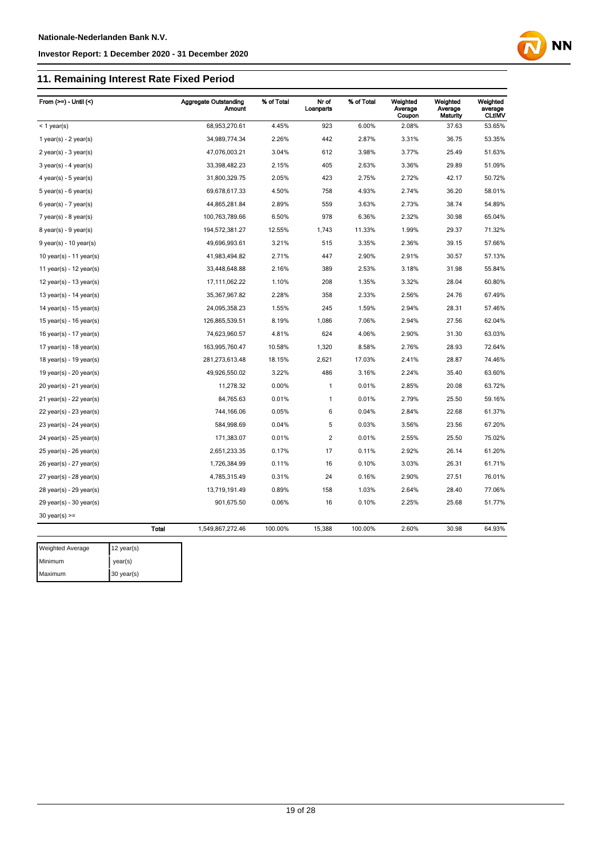## **11. Remaining Interest Rate Fixed Period**

| From $(>=)$ - Until $($     |              | <b>Aggregate Outstanding</b><br><b>Amount</b> | % of Total | Nr of<br>Loanparts | % of Total | Weighted<br>Average<br>Coupon | Weighted<br>Average<br>Maturity | Weighted<br>average<br><b>CLtIMV</b> |
|-----------------------------|--------------|-----------------------------------------------|------------|--------------------|------------|-------------------------------|---------------------------------|--------------------------------------|
| $<$ 1 year(s)               |              | 68,953,270.61                                 | 4.45%      | 923                | 6.00%      | 2.08%                         | 37.63                           | 53.65%                               |
| 1 year(s) - $2$ year(s)     |              | 34,989,774.34                                 | 2.26%      | 442                | 2.87%      | 3.31%                         | 36.75                           | 53.35%                               |
| $2$ year(s) - $3$ year(s)   |              | 47,076,003.21                                 | 3.04%      | 612                | 3.98%      | 3.77%                         | 25.49                           | 51.63%                               |
| $3$ year(s) - 4 year(s)     |              | 33,398,482.23                                 | 2.15%      | 405                | 2.63%      | 3.36%                         | 29.89                           | 51.09%                               |
| 4 year(s) - 5 year(s)       |              | 31,800,329.75                                 | 2.05%      | 423                | 2.75%      | 2.72%                         | 42.17                           | 50.72%                               |
| $5$ year(s) - $6$ year(s)   |              | 69,678,617.33                                 | 4.50%      | 758                | 4.93%      | 2.74%                         | 36.20                           | 58.01%                               |
| $6$ year(s) - 7 year(s)     |              | 44,865,281.84                                 | 2.89%      | 559                | 3.63%      | 2.73%                         | 38.74                           | 54.89%                               |
| 7 year(s) - 8 year(s)       |              | 100,763,789.66                                | 6.50%      | 978                | 6.36%      | 2.32%                         | 30.98                           | 65.04%                               |
| $8$ year(s) - $9$ year(s)   |              | 194,572,381.27                                | 12.55%     | 1,743              | 11.33%     | 1.99%                         | 29.37                           | 71.32%                               |
| $9$ year(s) - 10 year(s)    |              | 49,696,993.61                                 | 3.21%      | 515                | 3.35%      | 2.36%                         | 39.15                           | 57.66%                               |
| 10 year(s) - 11 year(s)     |              | 41,983,494.82                                 | 2.71%      | 447                | 2.90%      | 2.91%                         | 30.57                           | 57.13%                               |
| 11 year(s) - 12 year(s)     |              | 33,448,648.88                                 | 2.16%      | 389                | 2.53%      | 3.18%                         | 31.98                           | 55.84%                               |
| 12 year(s) - 13 year(s)     |              | 17,111,062.22                                 | 1.10%      | 208                | 1.35%      | 3.32%                         | 28.04                           | 60.80%                               |
| 13 year(s) - $14$ year(s)   |              | 35,367,967.82                                 | 2.28%      | 358                | 2.33%      | 2.56%                         | 24.76                           | 67.49%                               |
| 14 year(s) - $15$ year(s)   |              | 24,095,358.23                                 | 1.55%      | 245                | 1.59%      | 2.94%                         | 28.31                           | 57.46%                               |
| 15 year(s) - 16 year(s)     |              | 126,865,539.51                                | 8.19%      | 1,086              | 7.06%      | 2.94%                         | 27.56                           | 62.04%                               |
| 16 year(s) - $17$ year(s)   |              | 74,623,960.57                                 | 4.81%      | 624                | 4.06%      | 2.90%                         | 31.30                           | 63.03%                               |
| 17 year(s) - 18 year(s)     |              | 163,995,760.47                                | 10.58%     | 1,320              | 8.58%      | 2.76%                         | 28.93                           | 72.64%                               |
| 18 year(s) - 19 year(s)     |              | 281,273,613.48                                | 18.15%     | 2,621              | 17.03%     | 2.41%                         | 28.87                           | 74.46%                               |
| 19 year(s) - $20$ year(s)   |              | 49,926,550.02                                 | 3.22%      | 486                | 3.16%      | 2.24%                         | 35.40                           | 63.60%                               |
| $20$ year(s) - 21 year(s)   |              | 11,278.32                                     | 0.00%      | 1                  | 0.01%      | 2.85%                         | 20.08                           | 63.72%                               |
| 21 year(s) - 22 year(s)     |              | 84,765.63                                     | 0.01%      | 1                  | 0.01%      | 2.79%                         | 25.50                           | 59.16%                               |
| $22$ year(s) - $23$ year(s) |              | 744,166.06                                    | 0.05%      | 6                  | 0.04%      | 2.84%                         | 22.68                           | 61.37%                               |
| 23 year(s) - 24 year(s)     |              | 584,998.69                                    | 0.04%      | 5                  | 0.03%      | 3.56%                         | 23.56                           | 67.20%                               |
| 24 year(s) - 25 year(s)     |              | 171,383.07                                    | 0.01%      | $\overline{c}$     | 0.01%      | 2.55%                         | 25.50                           | 75.02%                               |
| $25$ year(s) - $26$ year(s) |              | 2,651,233.35                                  | 0.17%      | 17                 | 0.11%      | 2.92%                         | 26.14                           | 61.20%                               |
| 26 year(s) - 27 year(s)     |              | 1,726,384.99                                  | 0.11%      | 16                 | 0.10%      | 3.03%                         | 26.31                           | 61.71%                               |
| $27$ year(s) - $28$ year(s) |              | 4,785,315.49                                  | 0.31%      | 24                 | 0.16%      | 2.90%                         | 27.51                           | 76.01%                               |
| 28 year(s) - 29 year(s)     |              | 13,719,191.49                                 | 0.89%      | 158                | 1.03%      | 2.64%                         | 28.40                           | 77.06%                               |
| 29 year(s) - 30 year(s)     |              | 901,675.50                                    | 0.06%      | 16                 | 0.10%      | 2.25%                         | 25.68                           | 51.77%                               |
| $30$ year(s) >=             |              |                                               |            |                    |            |                               |                                 |                                      |
|                             | <b>Total</b> | 1,549,867,272.46                              | 100.00%    | 15,388             | 100.00%    | 2.60%                         | 30.98                           | 64.93%                               |
| <b>Weighted Average</b>     | 12 year(s)   |                                               |            |                    |            |                               |                                 |                                      |

| <b>Weighted Average</b> | 12 year(s) |
|-------------------------|------------|
| Minimum                 | year(s)    |
| Maximum                 | 30 year(s) |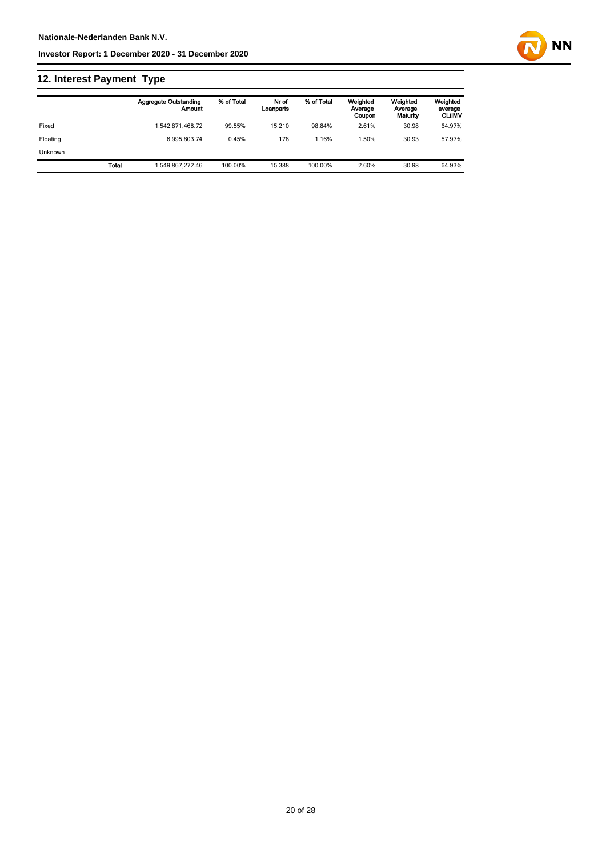## **12. Interest Payment Type**

|                |       | <b>Aggregate Outstanding</b><br>Amount | % of Total | Nr of<br>Loanparts | % of Total | Weighted<br>Average<br>Coupon | Weighted<br>Average<br>Maturity | Weighted<br>average<br><b>CLtIMV</b> |
|----------------|-------|----------------------------------------|------------|--------------------|------------|-------------------------------|---------------------------------|--------------------------------------|
| Fixed          |       | 1.542.871.468.72                       | 99.55%     | 15.210             | 98.84%     | 2.61%                         | 30.98                           | 64.97%                               |
| Floating       |       | 6.995.803.74                           | 0.45%      | 178                | 1.16%      | .50%                          | 30.93                           | 57.97%                               |
| <b>Unknown</b> |       |                                        |            |                    |            |                               |                                 |                                      |
|                | Total | 1.549.867.272.46                       | 100.00%    | 15.388             | 100.00%    | 2.60%                         | 30.98                           | 64.93%                               |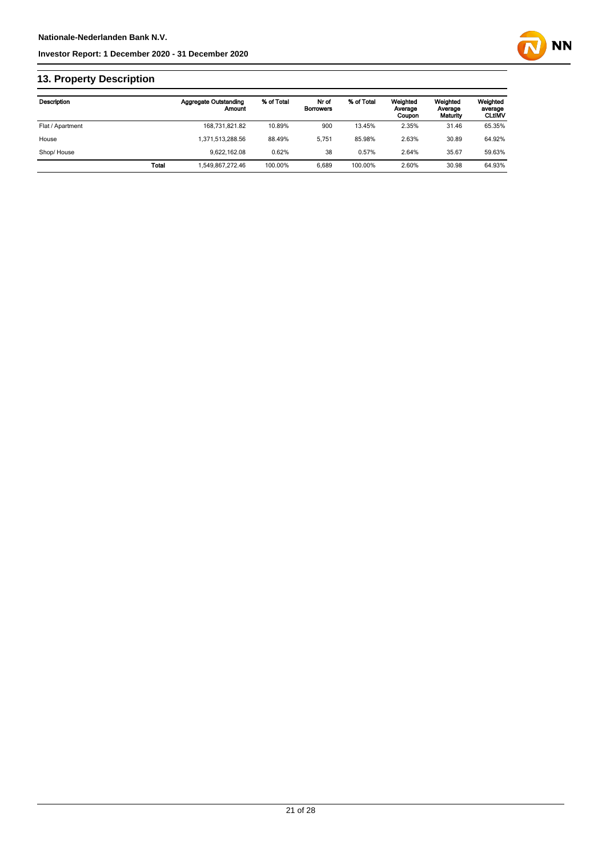

## **13. Property Description**

| <b>Description</b> |       | <b>Aggregate Outstanding</b><br>Amount | % of Total | Nr of<br><b>Borrowers</b> | % of Total | Weighted<br>Average<br>Coupon | Weighted<br>Average<br>Maturity | Weighted<br>average<br><b>CLUMV</b> |
|--------------------|-------|----------------------------------------|------------|---------------------------|------------|-------------------------------|---------------------------------|-------------------------------------|
| Flat / Apartment   |       | 168,731,821.82                         | 10.89%     | 900                       | 13.45%     | 2.35%                         | 31.46                           | 65.35%                              |
| House              |       | 1,371,513,288.56                       | 88.49%     | 5.751                     | 85.98%     | 2.63%                         | 30.89                           | 64.92%                              |
| Shop/House         |       | 9.622.162.08                           | 0.62%      | 38                        | 0.57%      | 2.64%                         | 35.67                           | 59.63%                              |
|                    | Total | .549.867.272.46                        | 100.00%    | 6.689                     | 100.00%    | 2.60%                         | 30.98                           | 64.93%                              |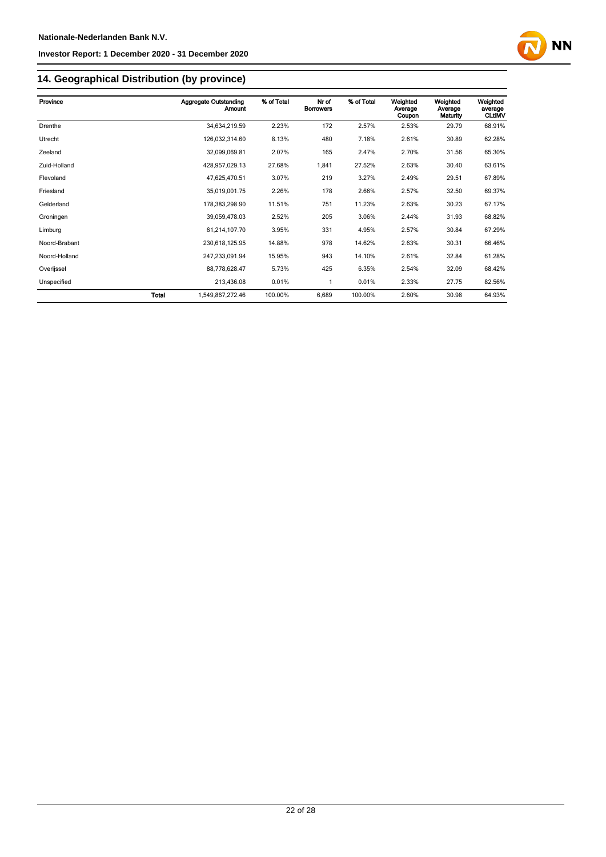

## **14. Geographical Distribution (by province)**

| Province      |       | <b>Aggregate Outstanding</b><br>Amount | % of Total | Nr of<br><b>Borrowers</b> | % of Total | Weighted<br>Average | Weighted<br>Average | Weighted<br>average |
|---------------|-------|----------------------------------------|------------|---------------------------|------------|---------------------|---------------------|---------------------|
|               |       |                                        |            |                           |            | Coupon              | Maturity            | <b>CLtIMV</b>       |
| Drenthe       |       | 34,634,219.59                          | 2.23%      | 172                       | 2.57%      | 2.53%               | 29.79               | 68.91%              |
| Utrecht       |       | 126,032,314.60                         | 8.13%      | 480                       | 7.18%      | 2.61%               | 30.89               | 62.28%              |
| Zeeland       |       | 32,099,069.81                          | 2.07%      | 165                       | 2.47%      | 2.70%               | 31.56               | 65.30%              |
| Zuid-Holland  |       | 428,957,029.13                         | 27.68%     | 1,841                     | 27.52%     | 2.63%               | 30.40               | 63.61%              |
| Flevoland     |       | 47,625,470.51                          | 3.07%      | 219                       | 3.27%      | 2.49%               | 29.51               | 67.89%              |
| Friesland     |       | 35,019,001.75                          | 2.26%      | 178                       | 2.66%      | 2.57%               | 32.50               | 69.37%              |
| Gelderland    |       | 178,383,298.90                         | 11.51%     | 751                       | 11.23%     | 2.63%               | 30.23               | 67.17%              |
| Groningen     |       | 39,059,478.03                          | 2.52%      | 205                       | 3.06%      | 2.44%               | 31.93               | 68.82%              |
| Limburg       |       | 61,214,107.70                          | 3.95%      | 331                       | 4.95%      | 2.57%               | 30.84               | 67.29%              |
| Noord-Brabant |       | 230,618,125.95                         | 14.88%     | 978                       | 14.62%     | 2.63%               | 30.31               | 66.46%              |
| Noord-Holland |       | 247,233,091.94                         | 15.95%     | 943                       | 14.10%     | 2.61%               | 32.84               | 61.28%              |
| Overijssel    |       | 88,778,628.47                          | 5.73%      | 425                       | 6.35%      | 2.54%               | 32.09               | 68.42%              |
| Unspecified   |       | 213,436.08                             | 0.01%      | 1                         | 0.01%      | 2.33%               | 27.75               | 82.56%              |
|               | Total | 1,549,867,272.46                       | 100.00%    | 6,689                     | 100.00%    | 2.60%               | 30.98               | 64.93%              |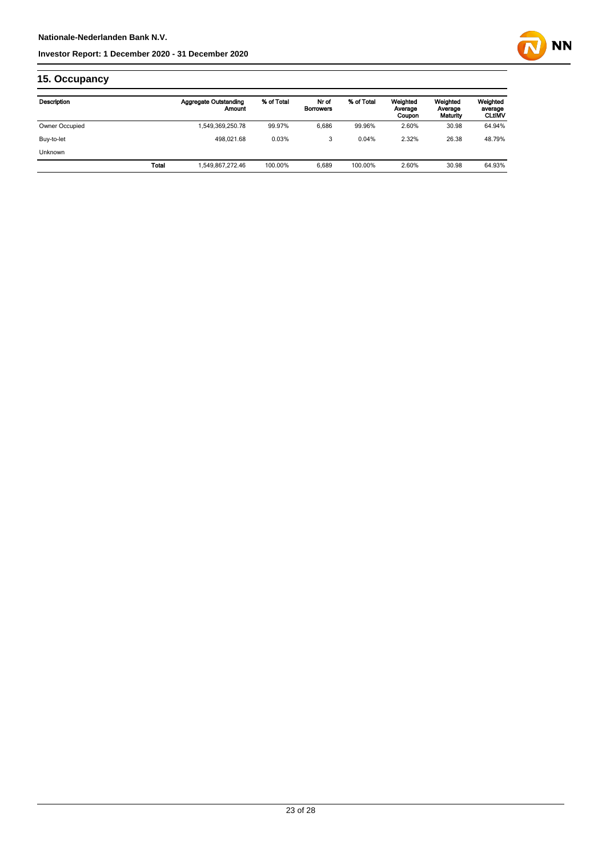

## **15. Occupancy**

| Description    |              | <b>Aggregate Outstanding</b><br>Amount | % of Total | Nr of<br><b>Borrowers</b> | % of Total | Weighted<br>Average<br>Coupon | Weighted<br>Average<br>Maturity | Weighted<br>average<br><b>CLtIMV</b> |
|----------------|--------------|----------------------------------------|------------|---------------------------|------------|-------------------------------|---------------------------------|--------------------------------------|
| Owner Occupied |              | 1,549,369,250.78                       | 99.97%     | 6.686                     | 99.96%     | 2.60%                         | 30.98                           | 64.94%                               |
| Buy-to-let     |              | 498.021.68                             | 0.03%      | 3                         | 0.04%      | 2.32%                         | 26.38                           | 48.79%                               |
| <b>Unknown</b> |              |                                        |            |                           |            |                               |                                 |                                      |
|                | <b>Total</b> | 1.549.867.272.46                       | 100.00%    | 6.689                     | 100.00%    | 2.60%                         | 30.98                           | 64.93%                               |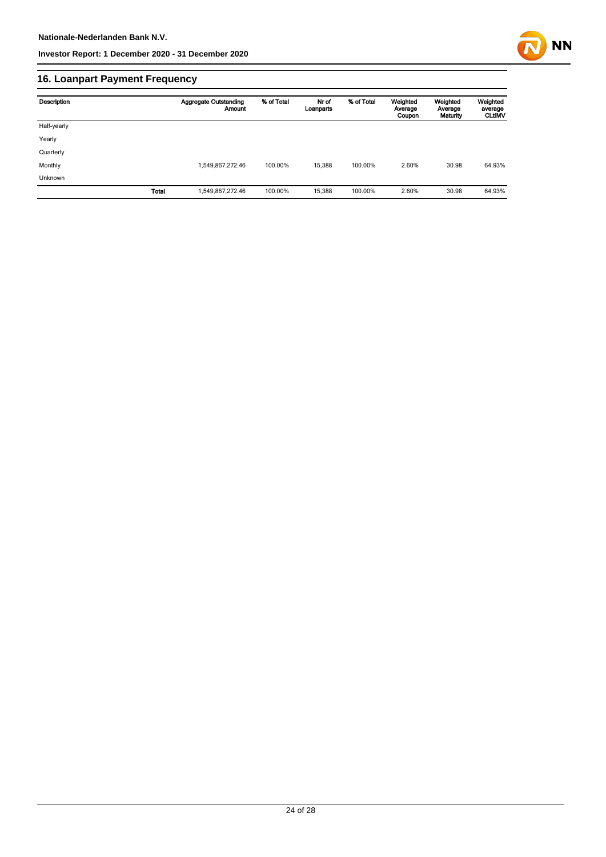

## **16. Loanpart Payment Frequency**

| Description | <b>Aggregate Outstanding</b><br><b>Amount</b> | % of Total | Nr of<br>Loanparts | % of Total | Weighted<br>Average<br>Coupon | Weighted<br>Average<br>Maturity | Weighted<br>average<br><b>CLtIMV</b> |
|-------------|-----------------------------------------------|------------|--------------------|------------|-------------------------------|---------------------------------|--------------------------------------|
| Half-yearly |                                               |            |                    |            |                               |                                 |                                      |
| Yearly      |                                               |            |                    |            |                               |                                 |                                      |
| Quarterly   |                                               |            |                    |            |                               |                                 |                                      |
| Monthly     | 1,549,867,272.46                              | 100.00%    | 15.388             | 100.00%    | 2.60%                         | 30.98                           | 64.93%                               |
| Unknown     |                                               |            |                    |            |                               |                                 |                                      |
|             | Total<br>1,549,867,272.46                     | 100.00%    | 15,388             | 100.00%    | 2.60%                         | 30.98                           | 64.93%                               |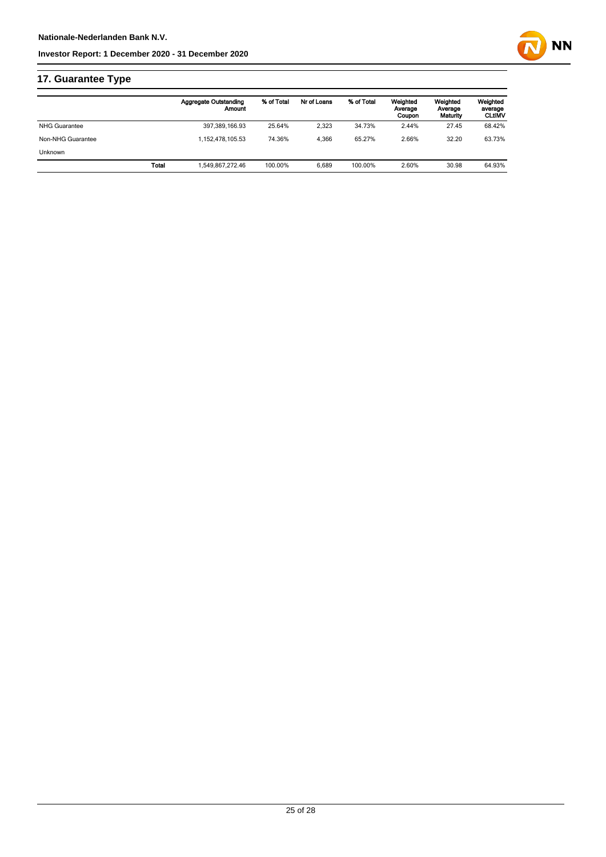

|                      |              | <b>Aggregate Outstanding</b><br>Amount | % of Total | Nr of Loans | % of Total | Weighted<br>Average<br>Coupon | Weighted<br>Average<br>Maturity | Weighted<br>average<br><b>CLtIMV</b> |
|----------------------|--------------|----------------------------------------|------------|-------------|------------|-------------------------------|---------------------------------|--------------------------------------|
| <b>NHG Guarantee</b> |              | 397,389,166.93                         | 25.64%     | 2,323       | 34.73%     | 2.44%                         | 27.45                           | 68.42%                               |
| Non-NHG Guarantee    |              | 1.152.478.105.53                       | 74.36%     | 4.366       | 65.27%     | 2.66%                         | 32.20                           | 63.73%                               |
| <b>Unknown</b>       |              |                                        |            |             |            |                               |                                 |                                      |
|                      | <b>Total</b> | 1,549,867,272.46                       | 100.00%    | 6.689       | 100.00%    | 2.60%                         | 30.98                           | 64.93%                               |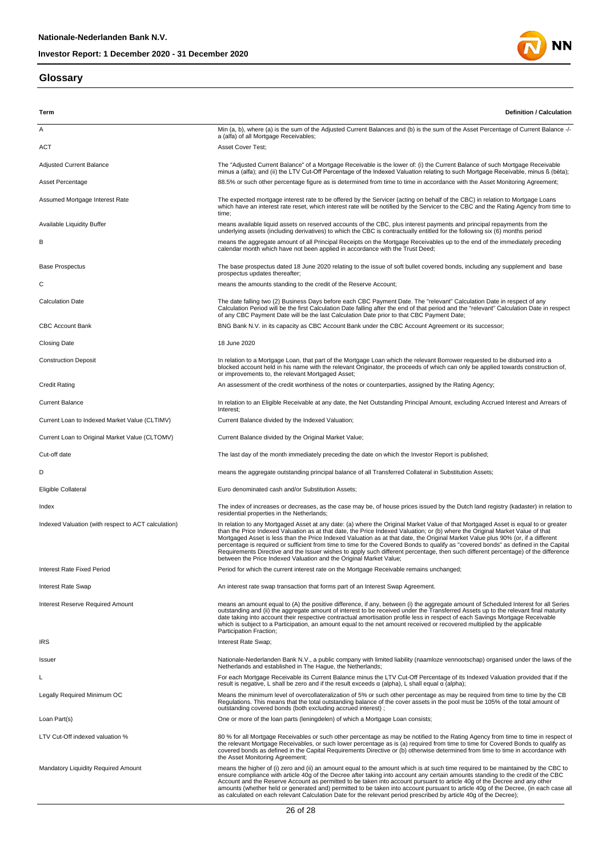#### **Glossary**



| Term                                                | <b>Definition / Calculation</b>                                                                                                                                                                                                                                                                                                                                                                                                                                                                                                                                                                                                                                                                                                                             |
|-----------------------------------------------------|-------------------------------------------------------------------------------------------------------------------------------------------------------------------------------------------------------------------------------------------------------------------------------------------------------------------------------------------------------------------------------------------------------------------------------------------------------------------------------------------------------------------------------------------------------------------------------------------------------------------------------------------------------------------------------------------------------------------------------------------------------------|
| Α                                                   | Min (a, b), where (a) is the sum of the Adjusted Current Balances and (b) is the sum of the Asset Percentage of Current Balance -/-                                                                                                                                                                                                                                                                                                                                                                                                                                                                                                                                                                                                                         |
| ACT                                                 | a (alfa) of all Mortgage Receivables;<br>Asset Cover Test;                                                                                                                                                                                                                                                                                                                                                                                                                                                                                                                                                                                                                                                                                                  |
| Adjusted Current Balance                            | The "Adjusted Current Balance" of a Mortgage Receivable is the lower of: (i) the Current Balance of such Mortgage Receivable                                                                                                                                                                                                                                                                                                                                                                                                                                                                                                                                                                                                                                |
| Asset Percentage                                    | minus a (alfa); and (ii) the LTV Cut-Off Percentage of the Indexed Valuation relating to such Mortgage Receivable, minus ß (bèta);<br>88.5% or such other percentage figure as is determined from time to time in accordance with the Asset Monitoring Agreement;                                                                                                                                                                                                                                                                                                                                                                                                                                                                                           |
|                                                     |                                                                                                                                                                                                                                                                                                                                                                                                                                                                                                                                                                                                                                                                                                                                                             |
| Assumed Mortgage Interest Rate                      | The expected mortgage interest rate to be offered by the Servicer (acting on behalf of the CBC) in relation to Mortgage Loans<br>which have an interest rate reset, which interest rate will be notified by the Servicer to the CBC and the Rating Agency from time to<br>time;                                                                                                                                                                                                                                                                                                                                                                                                                                                                             |
| <b>Available Liquidity Buffer</b>                   | means available liquid assets on reserved accounts of the CBC, plus interest payments and principal repayments from the<br>underlying assets (including derivatives) to which the CBC is contractually entitled for the following six (6) months period                                                                                                                                                                                                                                                                                                                                                                                                                                                                                                     |
| в                                                   | means the aggregate amount of all Principal Receipts on the Mortgage Receivables up to the end of the immediately preceding<br>calendar month which have not been applied in accordance with the Trust Deed;                                                                                                                                                                                                                                                                                                                                                                                                                                                                                                                                                |
| <b>Base Prospectus</b>                              | The base prospectus dated 18 June 2020 relating to the issue of soft bullet covered bonds, including any supplement and base<br>prospectus updates thereafter;                                                                                                                                                                                                                                                                                                                                                                                                                                                                                                                                                                                              |
| С                                                   | means the amounts standing to the credit of the Reserve Account;                                                                                                                                                                                                                                                                                                                                                                                                                                                                                                                                                                                                                                                                                            |
| <b>Calculation Date</b>                             | The date falling two (2) Business Days before each CBC Payment Date. The "relevant" Calculation Date in respect of any<br>Calculation Period will be the first Calculation Date falling after the end of that period and the "relevant" Calculation Date in respect<br>of any CBC Payment Date will be the last Calculation Date prior to that CBC Payment Date;                                                                                                                                                                                                                                                                                                                                                                                            |
| <b>CBC Account Bank</b>                             | BNG Bank N.V. in its capacity as CBC Account Bank under the CBC Account Agreement or its successor;                                                                                                                                                                                                                                                                                                                                                                                                                                                                                                                                                                                                                                                         |
| <b>Closing Date</b>                                 | 18 June 2020                                                                                                                                                                                                                                                                                                                                                                                                                                                                                                                                                                                                                                                                                                                                                |
| <b>Construction Deposit</b>                         | In relation to a Mortgage Loan, that part of the Mortgage Loan which the relevant Borrower requested to be disbursed into a<br>blocked account held in his name with the relevant Originator, the proceeds of which can only be applied towards construction of,<br>or improvements to, the relevant Mortgaged Asset;                                                                                                                                                                                                                                                                                                                                                                                                                                       |
| <b>Credit Rating</b>                                | An assessment of the credit worthiness of the notes or counterparties, assigned by the Rating Agency;                                                                                                                                                                                                                                                                                                                                                                                                                                                                                                                                                                                                                                                       |
| <b>Current Balance</b>                              | In relation to an Eligible Receivable at any date, the Net Outstanding Principal Amount, excluding Accrued Interest and Arrears of<br>Interest:                                                                                                                                                                                                                                                                                                                                                                                                                                                                                                                                                                                                             |
| Current Loan to Indexed Market Value (CLTIMV)       | Current Balance divided by the Indexed Valuation;                                                                                                                                                                                                                                                                                                                                                                                                                                                                                                                                                                                                                                                                                                           |
| Current Loan to Original Market Value (CLTOMV)      | Current Balance divided by the Original Market Value;                                                                                                                                                                                                                                                                                                                                                                                                                                                                                                                                                                                                                                                                                                       |
| Cut-off date                                        | The last day of the month immediately preceding the date on which the Investor Report is published;                                                                                                                                                                                                                                                                                                                                                                                                                                                                                                                                                                                                                                                         |
| D                                                   | means the aggregate outstanding principal balance of all Transferred Collateral in Substitution Assets;                                                                                                                                                                                                                                                                                                                                                                                                                                                                                                                                                                                                                                                     |
| Eligible Collateral                                 | Euro denominated cash and/or Substitution Assets;                                                                                                                                                                                                                                                                                                                                                                                                                                                                                                                                                                                                                                                                                                           |
| Index                                               | The index of increases or decreases, as the case may be, of house prices issued by the Dutch land registry (kadaster) in relation to<br>residential properties in the Netherlands;                                                                                                                                                                                                                                                                                                                                                                                                                                                                                                                                                                          |
| Indexed Valuation (with respect to ACT calculation) | In relation to any Mortgaged Asset at any date: (a) where the Original Market Value of that Mortgaged Asset is equal to or greater<br>than the Price Indexed Valuation as at that date, the Price Indexed Valuation; or (b) where the Original Market Value of that<br>Mortgaged Asset is less than the Price Indexed Valuation as at that date, the Original Market Value plus 90% (or, if a different<br>percentage is required or sufficient from time to time for the Covered Bonds to qualify as "covered bonds" as defined in the Capital<br>Requirements Directive and the Issuer wishes to apply such different percentage, then such different percentage) of the difference<br>between the Price Indexed Valuation and the Original Market Value; |
| Interest Rate Fixed Period                          | Period for which the current interest rate on the Mortgage Receivable remains unchanged;                                                                                                                                                                                                                                                                                                                                                                                                                                                                                                                                                                                                                                                                    |
| Interest Rate Swap                                  | An interest rate swap transaction that forms part of an Interest Swap Agreement.                                                                                                                                                                                                                                                                                                                                                                                                                                                                                                                                                                                                                                                                            |
| Interest Reserve Required Amount                    | means an amount equal to (A) the positive difference, if any, between (i) the aggregate amount of Scheduled Interest for all Series<br>outstanding and (ii) the aggregate amount of interest to be received under the Transferred Assets up to the relevant final maturity<br>date taking into account their respective contractual amortisation profile less in respect of each Savings Mortgage Receivable<br>which is subject to a Participation, an amount equal to the net amount received or recovered multiplied by the applicable<br>Participation Fraction;                                                                                                                                                                                        |
| <b>IRS</b>                                          | Interest Rate Swap;                                                                                                                                                                                                                                                                                                                                                                                                                                                                                                                                                                                                                                                                                                                                         |
| Issuer                                              | Nationale-Nederlanden Bank N.V., a public company with limited liability (naamloze vennootschap) organised under the laws of the<br>Netherlands and established in The Haque, the Netherlands:                                                                                                                                                                                                                                                                                                                                                                                                                                                                                                                                                              |
| L                                                   | For each Mortgage Receivable its Current Balance minus the LTV Cut-Off Percentage of its Indexed Valuation provided that if the<br>result is negative, L shall be zero and if the result exceeds $\alpha$ (alpha), L shall equal $\alpha$ (alpha);                                                                                                                                                                                                                                                                                                                                                                                                                                                                                                          |
| Legally Required Minimum OC                         | Means the minimum level of overcollateralization of 5% or such other percentage as may be required from time to time by the CB<br>Regulations. This means that the total outstanding balance of the cover assets in the pool must be 105% of the total amount of                                                                                                                                                                                                                                                                                                                                                                                                                                                                                            |
| Loan Part(s)                                        | outstanding covered bonds (both excluding accrued interest);<br>One or more of the loan parts (leningdelen) of which a Mortgage Loan consists;                                                                                                                                                                                                                                                                                                                                                                                                                                                                                                                                                                                                              |
| LTV Cut-Off indexed valuation %                     | 80 % for all Mortgage Receivables or such other percentage as may be notified to the Rating Agency from time to time in respect of<br>the relevant Mortgage Receivables, or such lower percentage as is (a) required from time to time for Covered Bonds to qualify as<br>covered bonds as defined in the Capital Requirements Directive or (b) otherwise determined from time to time in accordance with<br>the Asset Monitoring Agreement;                                                                                                                                                                                                                                                                                                                |
| Mandatory Liquidity Required Amount                 | means the higher of (i) zero and (ii) an amount equal to the amount which is at such time required to be maintained by the CBC to<br>ensure compliance with article 40g of the Decree after taking into account any certain amounts standing to the credit of the CBC<br>Account and the Reserve Account as permitted to be taken into account pursuant to article 40g of the Decree and any other<br>amounts (whether held or generated and) permitted to be taken into account pursuant to article 40g of the Decree, (in each case all<br>as calculated on each relevant Calculation Date for the relevant period prescribed by article 40g of the Decree);                                                                                              |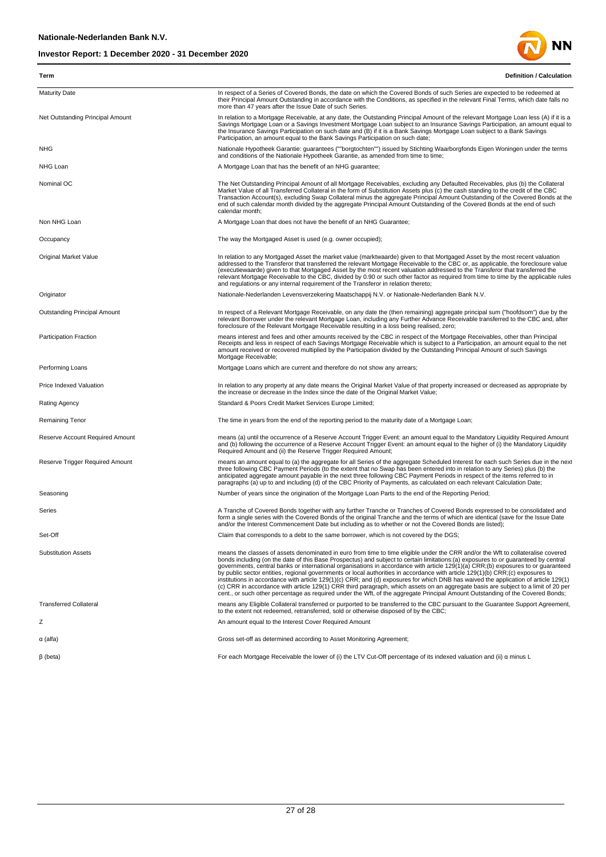

| Term                             | <b>Definition / Calculation</b>                                                                                                                                                                                                                                                                                                                                                                                                                                                                                                                                                                                                                                                                                                                                                                                                                                                                                                                              |
|----------------------------------|--------------------------------------------------------------------------------------------------------------------------------------------------------------------------------------------------------------------------------------------------------------------------------------------------------------------------------------------------------------------------------------------------------------------------------------------------------------------------------------------------------------------------------------------------------------------------------------------------------------------------------------------------------------------------------------------------------------------------------------------------------------------------------------------------------------------------------------------------------------------------------------------------------------------------------------------------------------|
| <b>Maturity Date</b>             | In respect of a Series of Covered Bonds, the date on which the Covered Bonds of such Series are expected to be redeemed at<br>their Principal Amount Outstanding in accordance with the Conditions, as specified in the relevant Final Terms, which date falls no<br>more than 47 years after the Issue Date of such Series.                                                                                                                                                                                                                                                                                                                                                                                                                                                                                                                                                                                                                                 |
| Net Outstanding Principal Amount | In relation to a Mortgage Receivable, at any date, the Outstanding Principal Amount of the relevant Mortgage Loan less (A) if it is a<br>Savings Mortgage Loan or a Savings Investment Mortgage Loan subject to an Insurance Savings Participation, an amount equal to<br>the Insurance Savings Participation on such date and (B) if it is a Bank Savings Mortgage Loan subject to a Bank Savings<br>Participation, an amount equal to the Bank Savings Participation on such date;                                                                                                                                                                                                                                                                                                                                                                                                                                                                         |
| <b>NHG</b>                       | Nationale Hypotheek Garantie: guarantees (""borgtochten"") issued by Stichting Waarborgfonds Eigen Woningen under the terms<br>and conditions of the Nationale Hypotheek Garantie, as amended from time to time;                                                                                                                                                                                                                                                                                                                                                                                                                                                                                                                                                                                                                                                                                                                                             |
| NHG Loan                         | A Mortgage Loan that has the benefit of an NHG guarantee;                                                                                                                                                                                                                                                                                                                                                                                                                                                                                                                                                                                                                                                                                                                                                                                                                                                                                                    |
| Nominal OC                       | The Net Outstanding Principal Amount of all Mortgage Receivables, excluding any Defaulted Receivables, plus (b) the Collateral<br>Market Value of all Transferred Collateral in the form of Substitution Assets plus (c) the cash standing to the credit of the CBC<br>Transaction Account(s), excluding Swap Collateral minus the aggregate Principal Amount Outstanding of the Covered Bonds at the<br>end of such calendar month divided by the aggregate Principal Amount Outstanding of the Covered Bonds at the end of such<br>calendar month;                                                                                                                                                                                                                                                                                                                                                                                                         |
| Non NHG Loan                     | A Mortgage Loan that does not have the benefit of an NHG Guarantee;                                                                                                                                                                                                                                                                                                                                                                                                                                                                                                                                                                                                                                                                                                                                                                                                                                                                                          |
| Occupancy                        | The way the Mortgaged Asset is used (e.g. owner occupied);                                                                                                                                                                                                                                                                                                                                                                                                                                                                                                                                                                                                                                                                                                                                                                                                                                                                                                   |
| Original Market Value            | In relation to any Mortgaged Asset the market value (marktwaarde) given to that Mortgaged Asset by the most recent valuation<br>addressed to the Transferor that transferred the relevant Mortgage Receivable to the CBC or, as applicable, the foreclosure value<br>(executiewaarde) given to that Mortgaged Asset by the most recent valuation addressed to the Transferor that transferred the<br>relevant Mortgage Receivable to the CBC, divided by 0.90 or such other factor as required from time to time by the applicable rules<br>and regulations or any internal requirement of the Transferor in relation thereto;                                                                                                                                                                                                                                                                                                                               |
| Originator                       | Nationale-Nederlanden Levensverzekering Maatschappij N.V. or Nationale-Nederlanden Bank N.V.                                                                                                                                                                                                                                                                                                                                                                                                                                                                                                                                                                                                                                                                                                                                                                                                                                                                 |
| Outstanding Principal Amount     | In respect of a Relevant Mortgage Receivable, on any date the (then remaining) aggregate principal sum ("hoofdsom") due by the<br>relevant Borrower under the relevant Mortgage Loan, including any Further Advance Receivable transferred to the CBC and, after<br>foreclosure of the Relevant Mortgage Receivable resulting in a loss being realised, zero;                                                                                                                                                                                                                                                                                                                                                                                                                                                                                                                                                                                                |
| Participation Fraction           | means interest and fees and other amounts received by the CBC in respect of the Mortgage Receivables, other than Principal<br>Receipts and less in respect of each Savings Mortgage Receivable which is subject to a Participation, an amount equal to the net<br>amount received or recovered multiplied by the Participation divided by the Outstanding Principal Amount of such Savings<br>Mortgage Receivable;                                                                                                                                                                                                                                                                                                                                                                                                                                                                                                                                           |
| Performing Loans                 | Mortgage Loans which are current and therefore do not show any arrears;                                                                                                                                                                                                                                                                                                                                                                                                                                                                                                                                                                                                                                                                                                                                                                                                                                                                                      |
| Price Indexed Valuation          | In relation to any property at any date means the Original Market Value of that property increased or decreased as appropriate by<br>the increase or decrease in the Index since the date of the Original Market Value;                                                                                                                                                                                                                                                                                                                                                                                                                                                                                                                                                                                                                                                                                                                                      |
| Rating Agency                    | Standard & Poors Credit Market Services Europe Limited;                                                                                                                                                                                                                                                                                                                                                                                                                                                                                                                                                                                                                                                                                                                                                                                                                                                                                                      |
| Remaining Tenor                  | The time in years from the end of the reporting period to the maturity date of a Mortgage Loan;                                                                                                                                                                                                                                                                                                                                                                                                                                                                                                                                                                                                                                                                                                                                                                                                                                                              |
| Reserve Account Required Amount  | means (a) until the occurrence of a Reserve Account Trigger Event: an amount equal to the Mandatory Liquidity Required Amount<br>and (b) following the occurrence of a Reserve Account Trigger Event: an amount equal to the higher of (i) the Mandatory Liquidity<br>Required Amount and (ii) the Reserve Trigger Required Amount;                                                                                                                                                                                                                                                                                                                                                                                                                                                                                                                                                                                                                          |
| Reserve Trigger Required Amount  | means an amount equal to (a) the aggregate for all Series of the aggregate Scheduled Interest for each such Series due in the next<br>three following CBC Payment Periods (to the extent that no Swap has been entered into in relation to any Series) plus (b) the<br>anticipated aggregate amount payable in the next three following CBC Payment Periods in respect of the items referred to in<br>paragraphs (a) up to and including (d) of the CBC Priority of Payments, as calculated on each relevant Calculation Date;                                                                                                                                                                                                                                                                                                                                                                                                                               |
| Seasoning                        | Number of years since the origination of the Mortgage Loan Parts to the end of the Reporting Period;                                                                                                                                                                                                                                                                                                                                                                                                                                                                                                                                                                                                                                                                                                                                                                                                                                                         |
| Series                           | A Tranche of Covered Bonds together with any further Tranche or Tranches of Covered Bonds expressed to be consolidated and<br>form a single series with the Covered Bonds of the original Tranche and the terms of which are identical (save for the Issue Date<br>and/or the Interest Commencement Date but including as to whether or not the Covered Bonds are listed);                                                                                                                                                                                                                                                                                                                                                                                                                                                                                                                                                                                   |
| Set-Off                          | Claim that corresponds to a debt to the same borrower, which is not covered by the DGS;                                                                                                                                                                                                                                                                                                                                                                                                                                                                                                                                                                                                                                                                                                                                                                                                                                                                      |
| <b>Substitution Assets</b>       | means the classes of assets denominated in euro from time to time eligible under the CRR and/or the Wft to collateralise covered<br>bonds including (on the date of this Base Prospectus) and subject to certain limitations:(a) exposures to or quaranteed by central<br>governments, central banks or international organisations in accordance with article 129(1)(a) CRR;(b) exposures to or quaranteed<br>by public sector entities, regional governments or local authorities in accordance with article 129(1)(b) CRR;(c) exposures to<br>institutions in accordance with article 129(1)(c) CRR; and (d) exposures for which DNB has waived the application of article 129(1)<br>(c) CRR in accordance with article 129(1) CRR third paragraph, which assets on an aggregate basis are subject to a limit of 20 per<br>cent., or such other percentage as required under the Wft, of the aggregate Principal Amount Outstanding of the Covered Bonds; |
| <b>Transferred Collateral</b>    | means any Eligible Collateral transferred or purported to be transferred to the CBC pursuant to the Guarantee Support Agreement,<br>to the extent not redeemed, retransferred, sold or otherwise disposed of by the CBC;                                                                                                                                                                                                                                                                                                                                                                                                                                                                                                                                                                                                                                                                                                                                     |
| Ζ                                | An amount equal to the Interest Cover Required Amount                                                                                                                                                                                                                                                                                                                                                                                                                                                                                                                                                                                                                                                                                                                                                                                                                                                                                                        |
| α (alfa)                         | Gross set-off as determined according to Asset Monitoring Agreement;                                                                                                                                                                                                                                                                                                                                                                                                                                                                                                                                                                                                                                                                                                                                                                                                                                                                                         |
| $\beta$ (beta)                   | For each Mortgage Receivable the lower of (i) the LTV Cut-Off percentage of its indexed valuation and (ii) a minus L                                                                                                                                                                                                                                                                                                                                                                                                                                                                                                                                                                                                                                                                                                                                                                                                                                         |